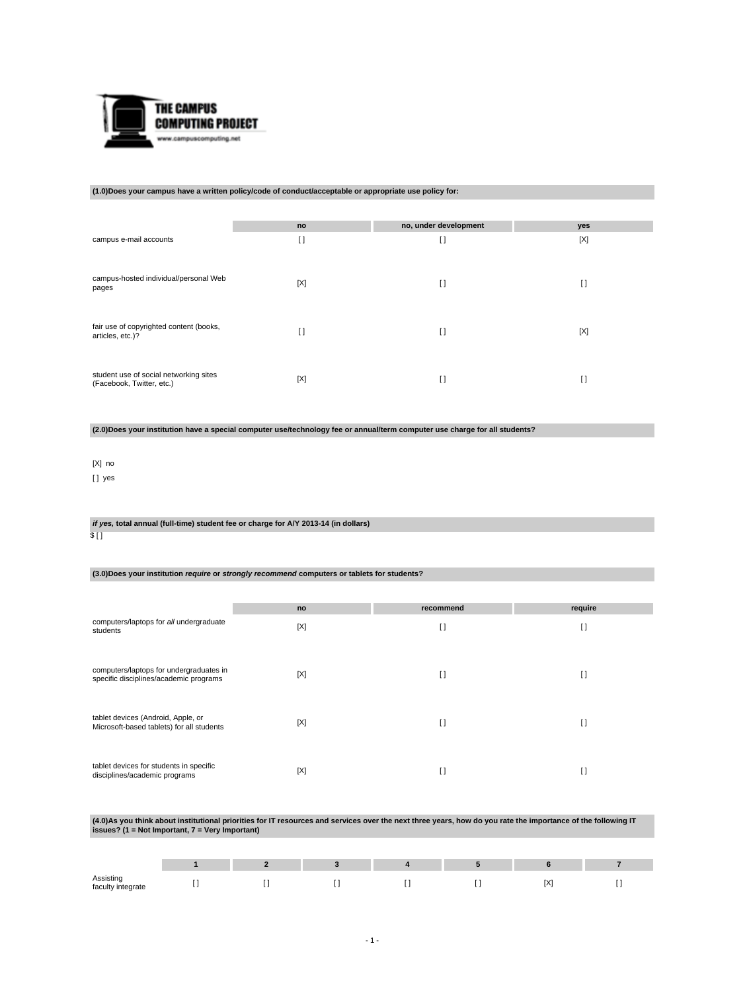

#### **(1.0)Does your campus have a written policy/code of conduct/acceptable or appropriate use policy for:**

|                                                                     | no                 | no, under development | yes |
|---------------------------------------------------------------------|--------------------|-----------------------|-----|
| campus e-mail accounts                                              | $\mathbf{L}$<br>IJ | $\mathbf{I}$          | [X] |
| campus-hosted individual/personal Web<br>pages                      | [X]                | I)                    | I)  |
| fair use of copyrighted content (books,<br>articles, etc.)?         | $\Box$             | $\mathbf{I}$          | [X] |
| student use of social networking sites<br>(Facebook, Twitter, etc.) | [X]                | $\Box$                | I)  |

**(2.0)Does your institution have a special computer use/technology fee or annual/term computer use charge for all students?**

## [X] no

[ ] yes

#### **if yes, total annual (full-time) student fee or charge for A/Y 2013-14 (in dollars)** \$ [ ]

## **(3.0)Does your institution require or strongly recommend computers or tablets for students?**

|                                                                                   | no  | recommend    | require        |
|-----------------------------------------------------------------------------------|-----|--------------|----------------|
| computers/laptops for all undergraduate<br>students                               | [X] | $\mathbf{I}$ | $\mathfrak{g}$ |
| computers/laptops for undergraduates in<br>specific disciplines/academic programs | [X] | $\Box$       | $\Box$         |
| tablet devices (Android, Apple, or<br>Microsoft-based tablets) for all students   | [X] | $\Box$       | $\Box$         |
| tablet devices for students in specific<br>disciplines/academic programs          | [X] | O            | H              |

# **(4.0)As you think about institutional priorities for IT resources and services over the next three years, how do you rate the importance of the following IT issues? (1 = Not Important, 7 = Very Important)**

| Assisting<br>faculty integrate |  |  | <b>PAP</b> | . . |
|--------------------------------|--|--|------------|-----|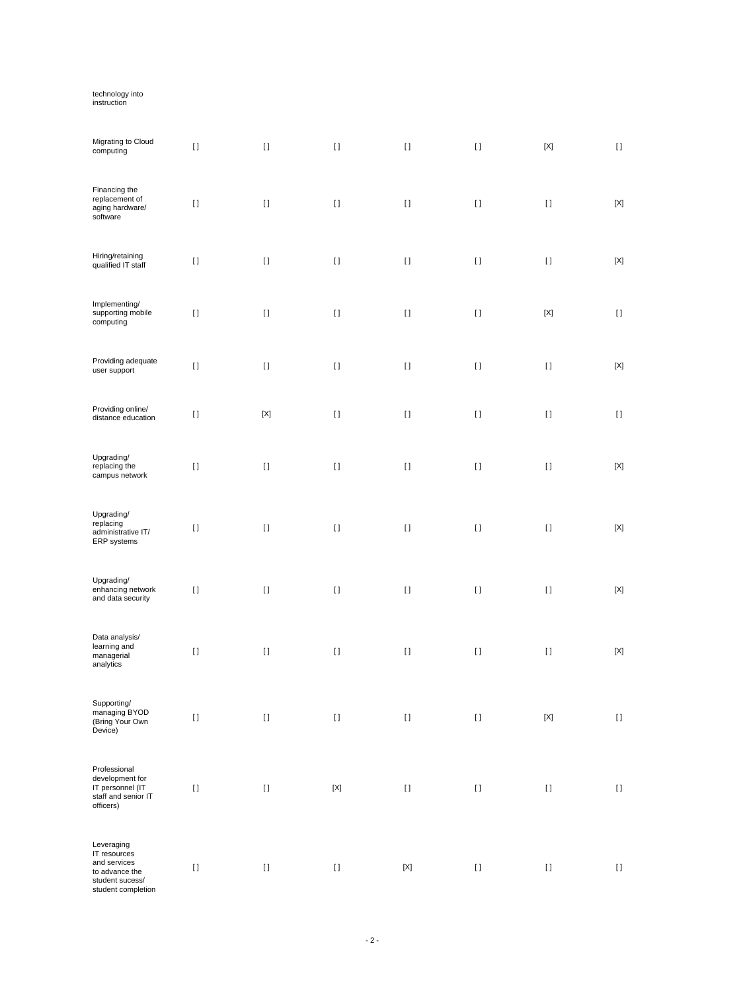# technology into instruction

| Migrating to Cloud<br>computing                                                                       | $[ \ ]$  | $[ \ ]$     | $[ \; ]$    | $[ \ ]$                                                                                                                                                                                               | $[ \; ]$ | $[{\sf X}]$ | $[ \; ]$    |
|-------------------------------------------------------------------------------------------------------|----------|-------------|-------------|-------------------------------------------------------------------------------------------------------------------------------------------------------------------------------------------------------|----------|-------------|-------------|
| Financing the<br>replacement of<br>aging hardware/<br>software                                        | $[ \; ]$ | $[ \; ]$    | $[ \ ]$     | $[ \; ]$                                                                                                                                                                                              | $[ \; ]$ | $[ \ ]$     | $[{\sf X}]$ |
| Hiring/retaining<br>qualified IT staff                                                                | $[ \, ]$ | $[ \ ]$     | $[ \; ]$    | $[ \; ]$                                                                                                                                                                                              | $[ \; ]$ | $[ \ ]$     | $[{\sf X}]$ |
| Implementing/<br>supporting mobile<br>computing                                                       | $[ \, ]$ | $[ \; ]$    | $[ \; ]$    | $[ \; ]$                                                                                                                                                                                              | $[ \; ]$ | $[{\sf X}]$ | $[ \ ]$     |
| Providing adequate<br>user support                                                                    | $[ \, ]$ | $[ \ ]$     | $[ \; ]$    | $[ \; ]$                                                                                                                                                                                              | $[ \; ]$ | $[ \ ]$     | $[{\sf X}]$ |
| Providing online/<br>distance education                                                               | $[ \; ]$ | $[{\sf X}]$ | $[ \; ]$    | $[ \; ]$                                                                                                                                                                                              | $[ \; ]$ | $[ \ ]$     | $[ \ ]$     |
| Upgrading/<br>replacing the<br>campus network                                                         | $[ \; ]$ | $[ \; ]$    | $[ \ ]$     | $[ \; ]$                                                                                                                                                                                              | $[ \; ]$ | $[ \; ]$    | $[{\sf X}]$ |
| Upgrading/<br>replacing<br>administrative IT/<br>ERP systems                                          | $[ \; ]$ | $[ \; ]$    | $[ \ ]$     | $[ \ ]$                                                                                                                                                                                               | $[ \; ]$ | $[ \; ]$    | $[{\sf X}]$ |
| Upgrading/<br>enhancing network<br>and data security                                                  | $[ \; ]$ | $[ \; ]$    | $[ \; ]$    | $[ \; ]$                                                                                                                                                                                              | $[ \ ]$  | $[ \ ]$     | $[{\sf X}]$ |
| Data analysis/<br>learning and<br>managerial<br>analytics                                             | $[ \, ]$ | $[ \; ]$    | $[ \; ]$    | $[ \; ]$                                                                                                                                                                                              | $[ \; ]$ | $[ \ ]$     | $[{\sf X}]$ |
| Supporting/<br>managing BYOD<br>(Bring Your Own<br>Device)                                            | $[ \ ]$  | $[ \ ]$     | $[ \; ]$    | $[ \; ]$                                                                                                                                                                                              | $[ \; ]$ | $[{\sf X}]$ | $[ \; ]$    |
| Professional<br>development for<br>IT personnel (IT<br>staff and senior IT<br>officers)               | $[ \; ]$ | $[ \; ]$    | $[{\sf X}]$ | $[] \centering \includegraphics[width=0.47\textwidth]{images/TrDiS-Architecture.png} \caption{The 3D (top) and 4D (bottom) are used for the 3D (bottom) and 3D (bottom).} \label{TrDiS-Architecture}$ | $[ \; ]$ | $[ \ ]$     | $[ \; ]$    |
| Leveraging<br>IT resources<br>and services<br>to advance the<br>student sucess/<br>student completion | $[ \ ]$  | $[ \ ]$     | $[ \ ]$     | $[{\sf X}]$                                                                                                                                                                                           | $[ \; ]$ | $[ \; ]$    | $[ \ ]$     |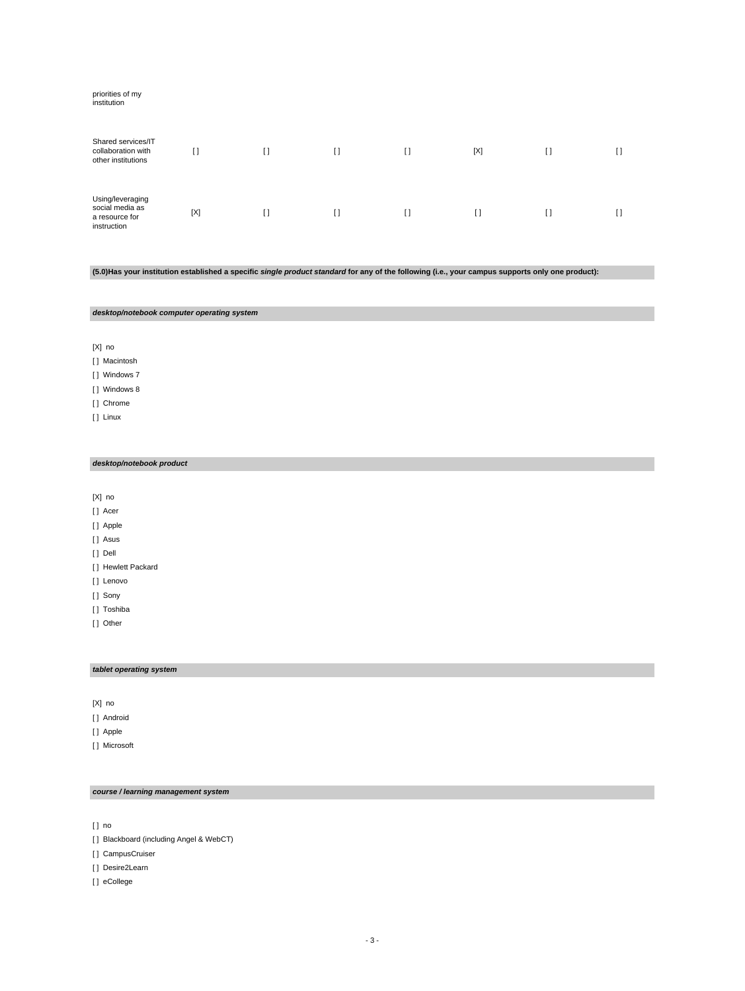# priorities of my institution Shared services/IT collaboration with other institutions  $\begin{bmatrix} 1 & 1 & 1 \end{bmatrix}$  [ ]  $\begin{bmatrix} 1 & 1 & 1 \end{bmatrix}$  [  $\begin{bmatrix} 1 & 1 & 1 \end{bmatrix}$  [ ]  $\begin{bmatrix} 1 & 1 & 1 \end{bmatrix}$ Using/leveraging social media as a resource for instruction [X] [ ] [ ] [ ] [ ] [ ] [ ]

**(5.0)Has your institution established a specific single product standard for any of the following (i.e., your campus supports only one product):**

**desktop/notebook computer operating system**

[X] no

[ ] Macintosh

[ ] Windows 7

[ ] Windows 8

[] Chrome

[ ] Linux

#### **desktop/notebook product**

[X] no

[] Acer

[ ] Apple

[ ] Asus

[ ] Dell

[ ] Hewlett Packard

[] Lenovo

[] Sony

[ ] Toshiba

[] Other

#### **tablet operating system**

[X] no

[ ] Android

[ ] Apple

[ ] Microsoft

## **course / learning management system**

[ ] no

[ ] Blackboard (including Angel & WebCT)

[ ] CampusCruiser

[ ] Desire2Learn

[ ] eCollege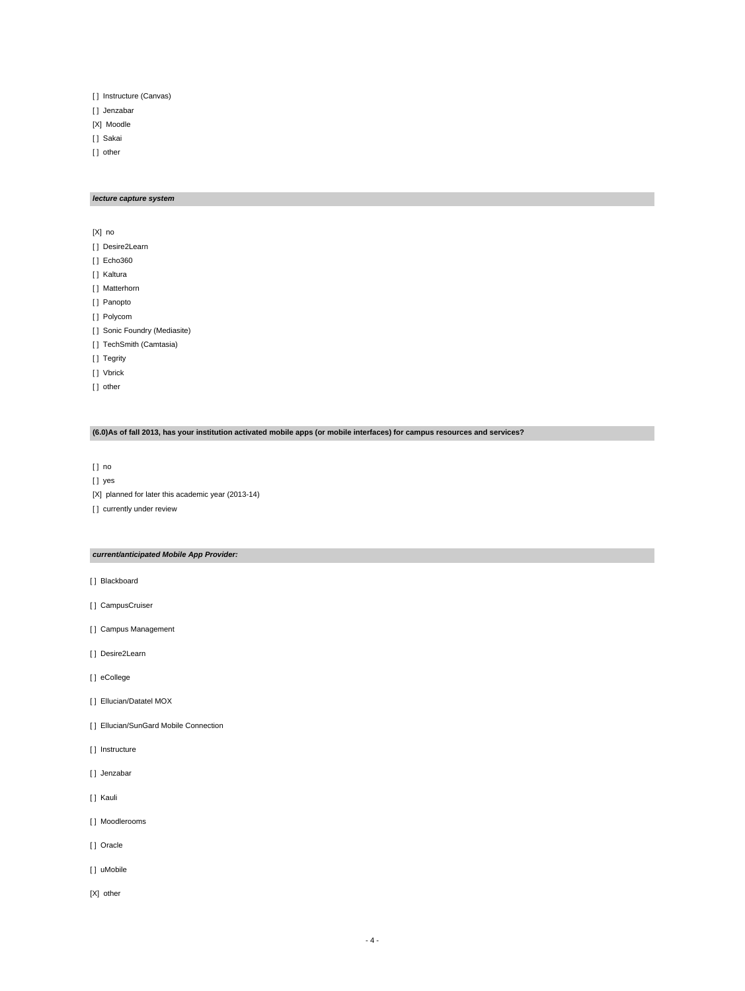- [ ] Instructure (Canvas)
- [ ] Jenzabar
- [X] Moodle
- [] Sakai
- [] other

## **lecture capture system**

[X] no

- [] Desire2Learn
- [ ] Echo360
- [ ] Kaltura
- [ ] Matterhorn
- [ ] Panopto
- [ ] Polycom
- [ ] Sonic Foundry (Mediasite)
- [ ] TechSmith (Camtasia)
- [ ] Tegrity
- [ ] Vbrick
- [] other

## **(6.0)As of fall 2013, has your institution activated mobile apps (or mobile interfaces) for campus resources and services?**

[ ] no

- [ ] yes
- [X] planned for later this academic year (2013-14)

[] currently under review

#### **current/anticipated Mobile App Provider:**

- [ ] Blackboard
- [ ] CampusCruiser
- [ ] Campus Management
- [] Desire2Learn
- [ ] eCollege
- [ ] Ellucian/Datatel MOX
- [] Ellucian/SunGard Mobile Connection
- [ ] Instructure
- [] Jenzabar
- [ ] Kauli
- [ ] Moodlerooms
- [ ] Oracle
- [ ] uMobile
- [X] other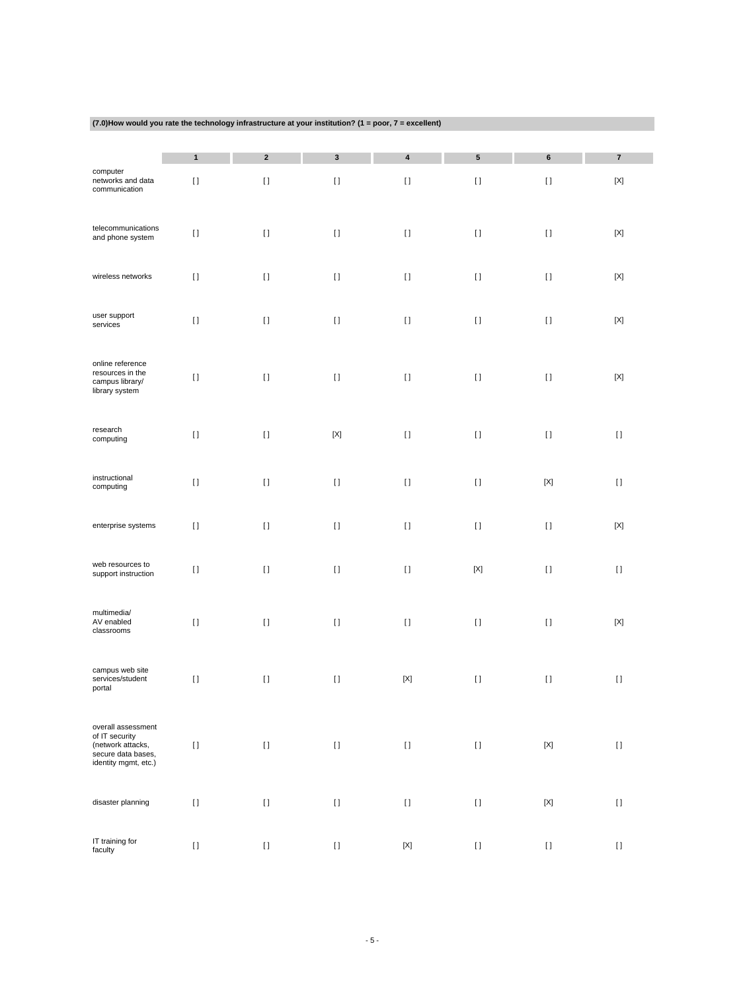| (7.0) How would you rate the technology infrastructure at your institution? (1 = poor, $7$ = excellent) |  |
|---------------------------------------------------------------------------------------------------------|--|

|                                                                                                         | $\mathbf{1}$ | $\mathbf{2}$ | $\mathbf 3$         | 4                         | 5                                                                                                                                                                                                     | 6                         | $\overline{\mathbf{7}}$ |
|---------------------------------------------------------------------------------------------------------|--------------|--------------|---------------------|---------------------------|-------------------------------------------------------------------------------------------------------------------------------------------------------------------------------------------------------|---------------------------|-------------------------|
| computer<br>networks and data<br>communication                                                          | $[ \; ]$     | $[ \ ]$      | $\left[ \ \right]$  | $[ \; ]$                  | $[ \ ]$                                                                                                                                                                                               | $[ \ ]$                   | $[{\sf X}]$             |
| telecommunications<br>and phone system                                                                  | $[ \; ]$     | $[ \; ]$     | $\left[ \ \right]$  | $[ \; ]$                  | $[ \; ]$                                                                                                                                                                                              | $[ \; ]$                  | $[{\sf X}]$             |
| wireless networks                                                                                       | $[ \ ]$      | $[ \; ]$     | $[ \ ]$             | $[ \ ]$                   | $[ \ ]$                                                                                                                                                                                               | $[ \; ]$                  | $[{\sf X}]$             |
| user support<br>services                                                                                | $[ \ ]$      | $[ \; ]$     | $[ \ ]$             | $[ \; ]$                  | $[ \ ]$                                                                                                                                                                                               | $[ \ ]$                   | $[{\sf X}]$             |
| online reference<br>resources in the<br>campus library/<br>library system                               | $[ \; ]$     | $[ \ ]$      | $[ \; ]$            | $\left[ \; \right]$       | $[ \; ]$                                                                                                                                                                                              | $[ \; ]$                  | $[{\sf X}]$             |
| research<br>computing                                                                                   | $[ \ ]$      | $[ \ ]$      | $[{\sf X}]$         | $[ \ ]$                   | $[ \ ]$                                                                                                                                                                                               | $[ \; ]$                  | $[ \ ]$                 |
| instructional<br>computing                                                                              | $[ \; ]$     | $[ \; ]$     | $[ \ ]$             | $\left[ \; \right]$       | $[ \; ]$                                                                                                                                                                                              | $[{\sf X}]$               | $[ \ ]$                 |
| enterprise systems                                                                                      | $[ \; ]$     | $[ \; ]$     | $[ \; ]$            | $[ \ ]$                   | $[ \; ]$                                                                                                                                                                                              | $[ \; ]$                  | $[{\sf X}]$             |
| web resources to<br>support instruction                                                                 | $[ \ ]$      | $[ \; ]$     | $[ \; ]$            | $[ \ ]$                   | $[{\sf X}]$                                                                                                                                                                                           | $[ \; ]$                  | $[ \ ]$                 |
| multimedia/<br>AV enabled<br>classrooms                                                                 | $[ \ ]$      | $[ \; ]$     | $[ \ ]$             | $[ \ ]$                   | $[ \ ]$                                                                                                                                                                                               | $[ \; ]$                  | $[{\sf X}]$             |
| campus web site<br>services/student<br>portal                                                           | $[ \ ]$      | $[ \; ]$     | $[ \; ]$            | $\left[ \text{X} \right]$ | $[ \ ]$                                                                                                                                                                                               | $[ \ ]$                   | $[ \ ]$                 |
| overall assessment<br>of IT security<br>(network attacks,<br>secure data bases,<br>identity mgmt, etc.) | $[ \ ]$      | $[ \ ]$      | $[ \ ]$             | $[ \; ]$                  | $[] \centering \includegraphics[width=0.47\textwidth]{images/TrDiS-Architecture.png} \caption{The 3D (top) and 4D (bottom) are used for the 3D (bottom) and 3D (bottom).} \label{TrDiS-Architecture}$ | $[{\sf X}]$               | $\left[ \ \right]$      |
| disaster planning                                                                                       | $[ \ ]$      | $[ \ ]$      | $\left[ \, \right]$ | $\lbrack \, \rbrack$      | $[ \ ]$                                                                                                                                                                                               | $\left[ \text{X} \right]$ | $[ \; ]$                |
| IT training for<br>faculty                                                                              | $[ \ ]$      | $[ \ ]$      | $\left[ \ \right]$  | $\left[ \text{X} \right]$ | $[ \ ]$                                                                                                                                                                                               | $[ \; ]$                  | $\left[ \ \right]$      |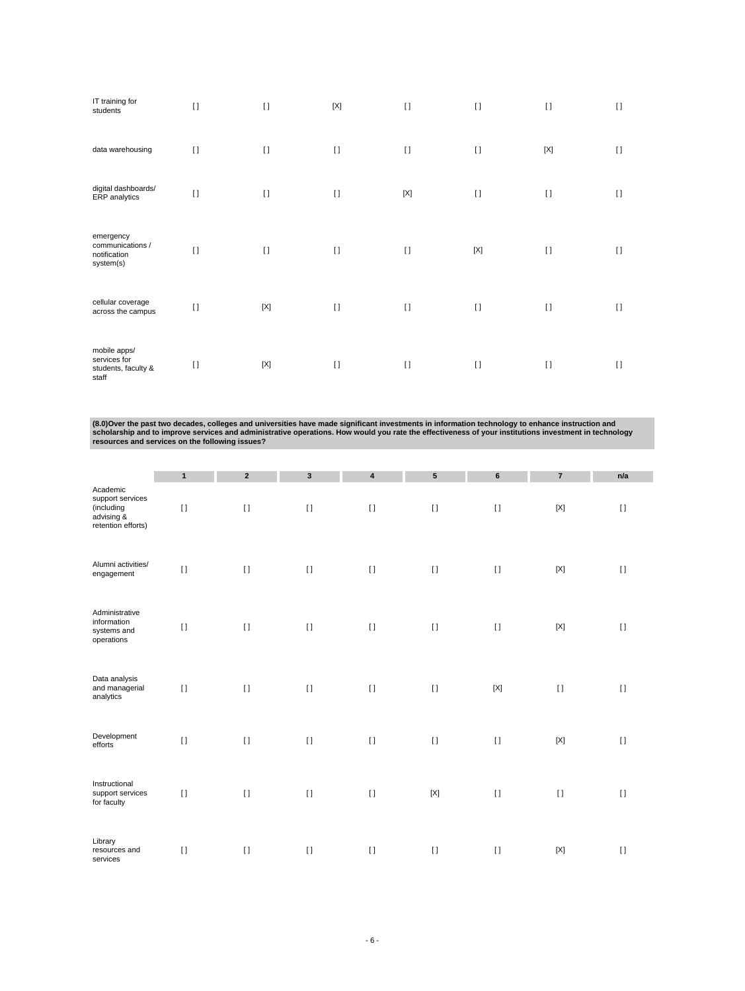| IT training for<br>students                                  | $[ \ ]$ | $\lceil$    | $[{\sf X}]$ | $\mathbf{I}$ | $\lceil$ | $[ \ ]$     | $\Box$  |
|--------------------------------------------------------------|---------|-------------|-------------|--------------|----------|-------------|---------|
| data warehousing                                             | $\Box$  | $\lceil$    | $\lceil$    | $[ \ ]$      | $[ \ ]$  | $[{\sf X}]$ | $\Box$  |
| digital dashboards/<br>ERP analytics                         | $[ \ ]$ | $\lceil$    | $\lceil$    | $[{\sf X}]$  | $[ \ ]$  | $\lceil$    | $[ \ ]$ |
| emergency<br>communications /<br>notification<br>system(s)   | $[ \ ]$ | $\Box$      | $\lceil$    | $[ \ ]$      | [X]      | $\lceil$    | $\Box$  |
| cellular coverage<br>across the campus                       | $[ \ ]$ | $[{\sf X}]$ | $[ \ ]$     | $[ \ ]$      | $[ \ ]$  | $\lceil$    | $\Box$  |
| mobile apps/<br>services for<br>students, faculty &<br>staff | $[ \ ]$ | $[{\sf X}]$ | $\lceil$    | $[ \ ]$      | $\Box$   | $\lceil$    | $\Box$  |

(8.0)Over the past two decades, colleges and universities have made significant investments in information technology to enhance instruction and<br>scholarship and to improve services and administrative operations. How would

|                                                                                | $\mathbf{1}$ | $\overline{2}$ | $\mathbf{3}$       | $\overline{\mathbf{4}}$ | ${\bf 5}$   | 6           | $\overline{\mathbf{r}}$ | n/a      |
|--------------------------------------------------------------------------------|--------------|----------------|--------------------|-------------------------|-------------|-------------|-------------------------|----------|
| Academic<br>support services<br>(including<br>advising &<br>retention efforts) | $[ \; ]$     | $[ \; ]$       | $[ \; ]$           | $[ \ ]$                 | $\lceil$    | $\lceil$    | $[{\sf X}]$             | $\lceil$ |
| Alumni activities/<br>engagement                                               | $[ \ ]$      | $[ \; ]$       | $\left[ \ \right]$ | $[ \ ]$                 | $\lceil$    | $\lceil$    | $[{\sf X}]$             | $\lceil$ |
| Administrative<br>information<br>systems and<br>operations                     | $[ \ ]$      | $[ \ ]$        | $[ \ ]$            | $[ \ ]$                 | $[ \ ]$     | $\lceil$    | $[{\sf X}]$             | $[ \ ]$  |
| Data analysis<br>and managerial<br>analytics                                   | $\lceil$     | $[ \; ]$       | $[ \; ]$           | $[ \; ]$                | $\lceil$    | $[{\sf X}]$ | $[ \; ]$                | $[ \ ]$  |
| Development<br>efforts                                                         | $[ \; ]$     | $[ \; ]$       | $[ \ ]$            | $[ \; ]$                | $[ \ ]$     | $[ \; ]$    | $[{\sf X}]$             | $[1]$    |
| Instructional<br>support services<br>for faculty                               | $\mathbf{I}$ | $[ \; ]$       | $[ \ ]$            | $[ \; ]$                | $[{\sf X}]$ | $[ \; ]$    | $[ \; ]$                | $[ \ ]$  |
| Library<br>resources and<br>services                                           | $\lceil$     | $[ \ ]$        | $[ \ ]$            | $[ \ ]$                 | $[ \ ]$     | $\lceil$    | $[{\sf X}]$             | $\lceil$ |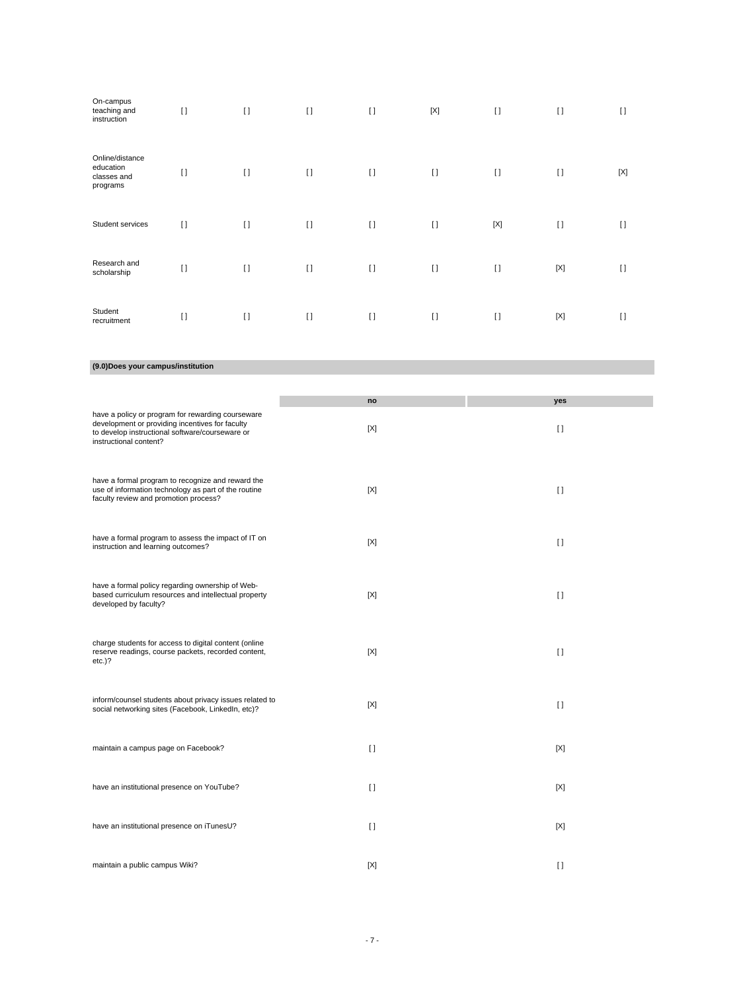| On-campus<br>teaching and<br>instruction                | $[ \ ]$ | $[ \ ]$ | $[ \ ]$  | $[ \ ]$ | $[{\sf X}]$ | $[ \ ]$     | $\lceil$    | $[ \ ]$     |
|---------------------------------------------------------|---------|---------|----------|---------|-------------|-------------|-------------|-------------|
| Online/distance<br>education<br>classes and<br>programs | $[ \ ]$ | $[ \ ]$ | $\lceil$ | $[ \ ]$ | $\lceil$    | $\lceil$    | $[ \ ]$     | $[{\sf X}]$ |
| Student services                                        | $[ \ ]$ | $[ \ ]$ | $[ \ ]$  | $[ \ ]$ | $\lceil$    | $[{\sf X}]$ | $\lceil$    | $[ \ ]$     |
| Research and<br>scholarship                             | $[ \ ]$ | $[ \ ]$ | $\lceil$ | $[ \ ]$ | $\lceil$    | $[ \ ]$     | [X]         | $[ \ ]$     |
| Student<br>recruitment                                  | $[ \ ]$ | $[ \ ]$ | $[ \ ]$  | $[ \ ]$ | $[ \ ]$     | $\Box$      | $[{\sf X}]$ | $[ \ ]$     |

#### **(9.0)Does your campus/institution**

|                                                                                                                                                                                   | no     | yes                                    |
|-----------------------------------------------------------------------------------------------------------------------------------------------------------------------------------|--------|----------------------------------------|
| have a policy or program for rewarding courseware<br>development or providing incentives for faculty<br>to develop instructional software/courseware or<br>instructional content? | [X]    | $\Box$                                 |
| have a formal program to recognize and reward the<br>use of information technology as part of the routine<br>faculty review and promotion process?                                | [X]    | $\begin{array}{c} \square \end{array}$ |
| have a formal program to assess the impact of IT on<br>instruction and learning outcomes?                                                                                         | [X]    | $\begin{array}{c} \square \end{array}$ |
| have a formal policy regarding ownership of Web-<br>based curriculum resources and intellectual property<br>developed by faculty?                                                 | [X]    | $\Box$                                 |
| charge students for access to digital content (online<br>reserve readings, course packets, recorded content,<br>$etc.$ )?                                                         | [X]    | $\Box$                                 |
| inform/counsel students about privacy issues related to<br>social networking sites (Facebook, LinkedIn, etc)?                                                                     | [X]    | $\begin{array}{c} \square \end{array}$ |
| maintain a campus page on Facebook?                                                                                                                                               | $\Box$ | [X]                                    |
| have an institutional presence on YouTube?                                                                                                                                        | $\Box$ | [X]                                    |
| have an institutional presence on iTunesU?                                                                                                                                        | $\Box$ | [X]                                    |
| maintain a public campus Wiki?                                                                                                                                                    | [X]    | $\Box$                                 |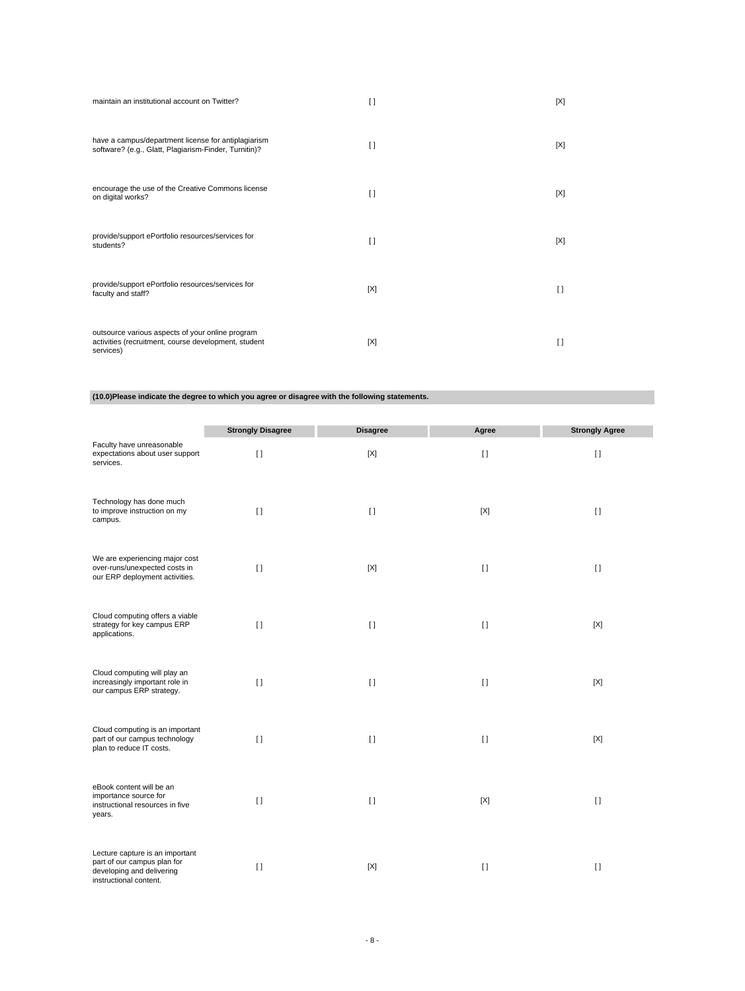| maintain an institutional account on Twitter?                                                                         | $\Box$ | [X] |
|-----------------------------------------------------------------------------------------------------------------------|--------|-----|
| have a campus/department license for antiplagiarism<br>software? (e.g., Glatt, Plagiarism-Finder, Turnitin)?          | $\Box$ | [X] |
| encourage the use of the Creative Commons license<br>on digital works?                                                | $\Box$ | [X] |
| provide/support ePortfolio resources/services for<br>students?                                                        | $\Box$ | [X] |
| provide/support ePortfolio resources/services for<br>faculty and staff?                                               | [X]    | H   |
| outsource various aspects of your online program<br>activities (recruitment, course development, student<br>services) | [X]    | Ħ   |

**(10.0)Please indicate the degree to which you agree or disagree with the following statements.**

|                                                                                                                       | <b>Strongly Disagree</b> | <b>Disagree</b> | Agree        | <b>Strongly Agree</b> |
|-----------------------------------------------------------------------------------------------------------------------|--------------------------|-----------------|--------------|-----------------------|
| Faculty have unreasonable<br>expectations about user support<br>services.                                             | $\Box$                   | $[{\sf X}]$     | $\mathbf{I}$ | $[ \ ]$               |
| Technology has done much<br>to improve instruction on my<br>campus.                                                   | $[ \ ]$                  | $[ \ ]$         | [X]          | $[ \ ]$               |
| We are experiencing major cost<br>over-runs/unexpected costs in<br>our ERP deployment activities.                     | $\lceil$                 | [X]             | $[ \ ]$      | $[ \ ]$               |
| Cloud computing offers a viable<br>strategy for key campus ERP<br>applications.                                       | $\Box$                   | $\mathbf{I}$    | $[ \ ]$      | [X]                   |
| Cloud computing will play an<br>increasingly important role in<br>our campus ERP strategy.                            | $\lceil$                 | $\mathbf{I}$    | $[ \ ]$      | $[{\sf X}]$           |
| Cloud computing is an important<br>part of our campus technology<br>plan to reduce IT costs.                          | $\lceil$                 | $\mathbf{I}$    | $[ \ ]$      | $[{\sf X}]$           |
| eBook content will be an<br>importance source for<br>instructional resources in five<br>years.                        | $\lceil$                 | $[ \ ]$         | $[{\sf X}]$  | $[ \ ]$               |
| Lecture capture is an important<br>part of our campus plan for<br>developing and delivering<br>instructional content. | $\Box$                   | [X]             | $[ \ ]$      | $\mathbf{I}$          |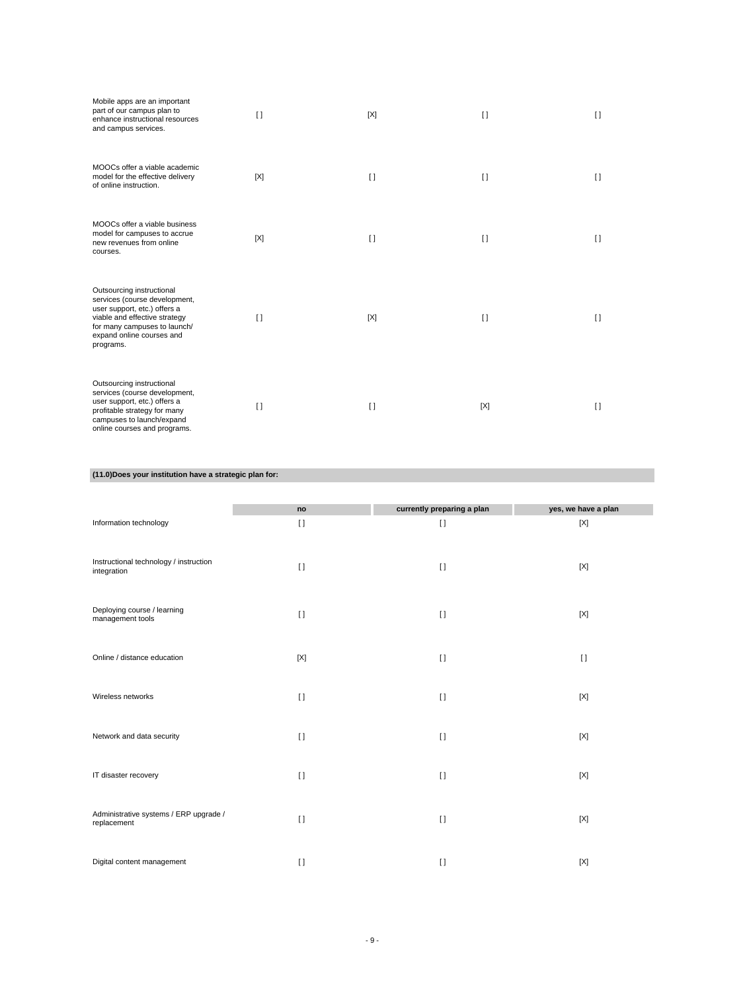| Mobile apps are an important<br>part of our campus plan to<br>enhance instructional resources<br>and campus services.                                                                                 | $\Box$ | [X]    | $\Box$ | $\Box$ |
|-------------------------------------------------------------------------------------------------------------------------------------------------------------------------------------------------------|--------|--------|--------|--------|
| MOOCs offer a viable academic<br>model for the effective delivery<br>of online instruction.                                                                                                           | [X]    | $\Box$ | $\Box$ | $\Box$ |
| MOOCs offer a viable business<br>model for campuses to accrue<br>new revenues from online<br>courses.                                                                                                 | [X]    | $\Box$ | $\Box$ | $\Box$ |
| Outsourcing instructional<br>services (course development,<br>user support, etc.) offers a<br>viable and effective strategy<br>for many campuses to launch/<br>expand online courses and<br>programs. | $\Box$ | [X]    | $\Box$ | $\Box$ |
| Outsourcing instructional<br>services (course development,<br>user support, etc.) offers a<br>profitable strategy for many<br>campuses to launch/expand<br>online courses and programs.               | $\Box$ | $\Box$ | [X]    | $\Box$ |

## **(11.0)Does your institution have a strategic plan for:**

|                                                       | no       | currently preparing a plan | yes, we have a plan |
|-------------------------------------------------------|----------|----------------------------|---------------------|
| Information technology                                | $[ \ ]$  | $[ \ ]$                    | $[{\sf X}]$         |
| Instructional technology / instruction<br>integration | $\Box$   | $\lceil$                   | [X]                 |
| Deploying course / learning<br>management tools       | $[ \ ]$  | $\lceil$                   | [X]                 |
| Online / distance education                           | [X]      | $\lceil$                   | $\lceil$            |
| Wireless networks                                     | $\lceil$ | $\lceil$                   | $[{\sf X}]$         |
| Network and data security                             | $[ \ ]$  | $[ \; ]$                   | [X]                 |
| IT disaster recovery                                  | $[ \ ]$  | $\lceil$                   | [X]                 |
| Administrative systems / ERP upgrade /<br>replacement | $\lceil$ | $\lceil$                   | [X]                 |
| Digital content management                            | $\lceil$ | $\lceil$                   | $[{\sf X}]$         |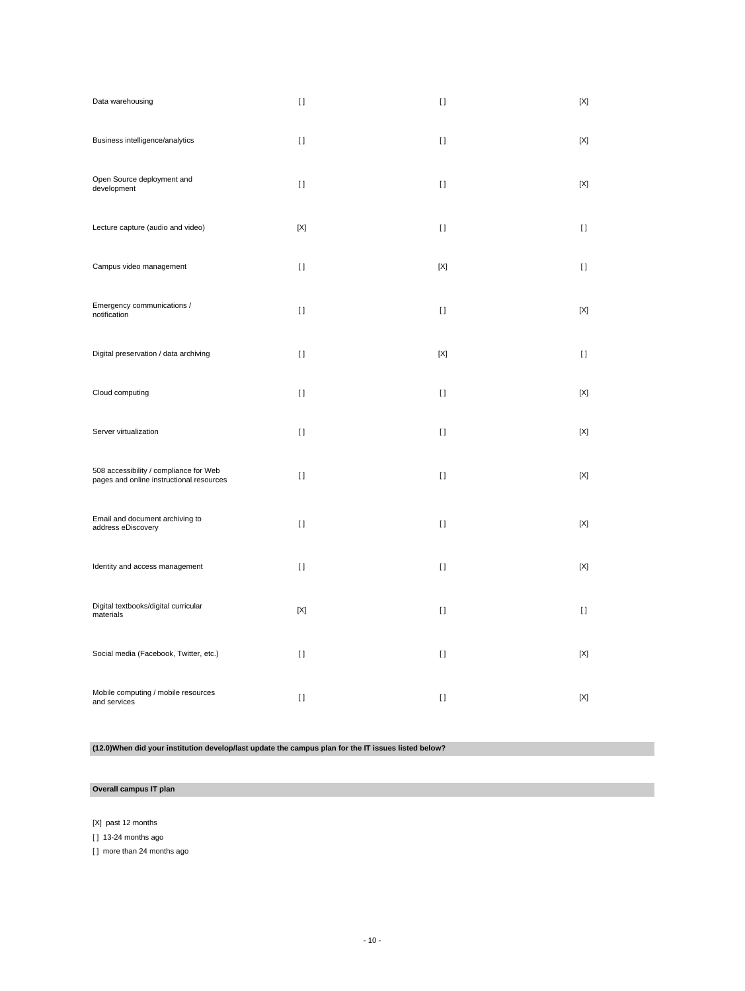| Data warehousing                                                                   | $\mathfrak{g}$   | $\mathbf{I}$ | [X]          |
|------------------------------------------------------------------------------------|------------------|--------------|--------------|
| Business intelligence/analytics                                                    | $\lceil$         | $\mathbf{I}$ | [X]          |
| Open Source deployment and<br>development                                          | $\lceil$         | $\mathbf{I}$ | [X]          |
| Lecture capture (audio and video)                                                  | $[{\sf X}]$      | $[ \ ]$      | $\mathbf{I}$ |
| Campus video management                                                            | $[ \ ]$          | $[{\sf X}]$  | $[ \ ]$      |
| Emergency communications /<br>notification                                         | $\lceil$         | $\mathbf{I}$ | [X]          |
| Digital preservation / data archiving                                              | $[ \ ]$          | $[{\sf X}]$  | $\mathbf{I}$ |
| Cloud computing                                                                    | $[ \ ]$          | $\mathbf{I}$ | [X]          |
| Server virtualization                                                              | $\lceil$         | $\mathbf{I}$ | [X]          |
| 508 accessibility / compliance for Web<br>pages and online instructional resources | $\left[ \right]$ | $\mathbf{I}$ | [X]          |
| Email and document archiving to<br>address eDiscovery                              | $\lceil$         | $\lceil$     | $[{\sf X}]$  |
| Identity and access management                                                     | $[ \ ]$          | $\Box$       | [X]          |
| Digital textbooks/digital curricular<br>materials                                  | $[{\sf X}]$      | $\mathbf{I}$ | $[ \ ]$      |
| Social media (Facebook, Twitter, etc.)                                             | $[ \ ]$          | $\mathbf{I}$ | [X]          |
| Mobile computing / mobile resources<br>and services                                | $[ \ ]$          | $\mathbf{I}$ | $[{\sf X}]$  |

**(12.0)When did your institution develop/last update the campus plan for the IT issues listed below?**

## **Overall campus IT plan**

[X] past 12 months

[ ] 13-24 months ago

[ ] more than 24 months ago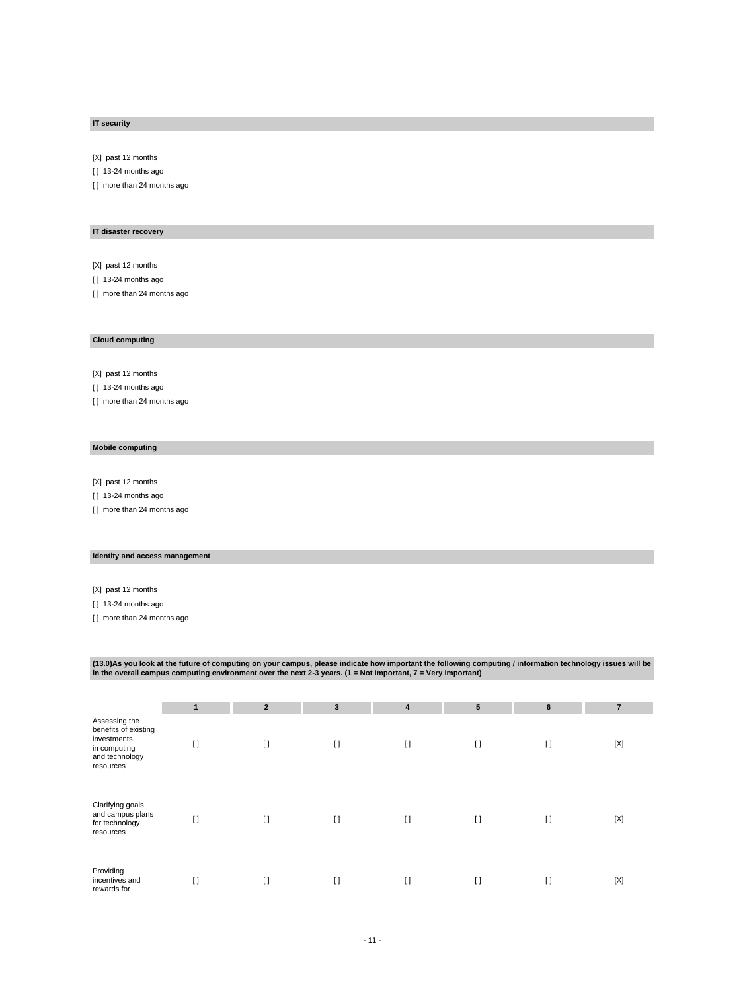## **IT security**

[X] past 12 months

[ ] 13-24 months ago

[ ] more than 24 months ago

## **IT disaster recovery**

[X] past 12 months

[ ] 13-24 months ago

[] more than 24 months ago

#### **Cloud computing**

[X] past 12 months

[ ] 13-24 months ago

[ ] more than 24 months ago

## **Mobile computing**

[X] past 12 months

[ ] 13-24 months ago

[ ] more than 24 months ago

## **Identity and access management**

[X] past 12 months

[ ] 13-24 months ago

[ ] more than 24 months ago

(13.0)As you look at the future of computing on your campus, please indicate how important the following computing / information technology issues will be<br>in the overall campus computing environment over the next 2-3 years

|                                                                                                     | 1       | $\overline{2}$ | $\mathbf{3}$ | $\overline{4}$ | 5       | $6\phantom{1}$ | $\overline{7}$ |
|-----------------------------------------------------------------------------------------------------|---------|----------------|--------------|----------------|---------|----------------|----------------|
| Assessing the<br>benefits of existing<br>investments<br>in computing<br>and technology<br>resources | $[ \ ]$ | $[ \ ]$        | $[ \ ]$      | $[ \ ]$        | $[ \ ]$ | $[ \ ]$        | $[{\sf X}]$    |
| Clarifying goals<br>and campus plans<br>for technology<br>resources                                 | $[ \ ]$ | $[ \ ]$        | $\lceil$     | $\lceil$       | $[ \ ]$ | $[ \ ]$        | [X]            |
| Providing<br>incentives and<br>rewards for                                                          | $[ \ ]$ | $[ \ ]$        | $\lceil$     | $\mathfrak{g}$ | $[ \ ]$ | $[ \ ]$        | $[{\sf X}]$    |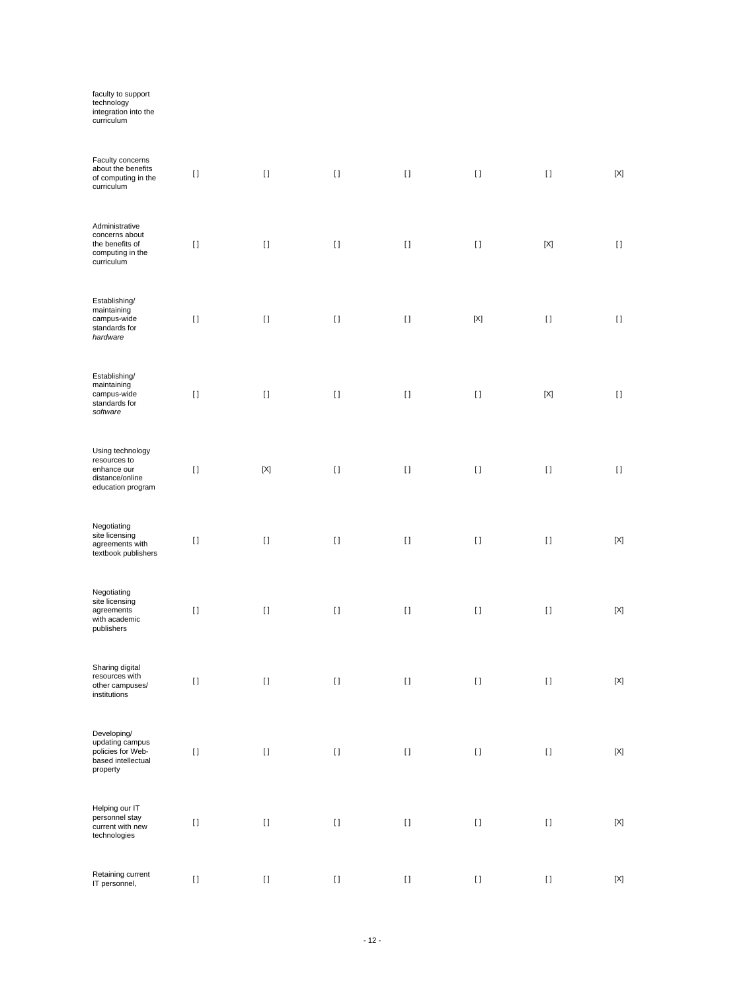| faculty to support<br>technology<br>integration into the<br>curriculum                  |          |             |         |                                                                                                                                                                                                       |             |                    |             |
|-----------------------------------------------------------------------------------------|----------|-------------|---------|-------------------------------------------------------------------------------------------------------------------------------------------------------------------------------------------------------|-------------|--------------------|-------------|
| Faculty concerns<br>about the benefits<br>of computing in the<br>curriculum             | $[ \ ]$  | $[ \; ]$    | $[ \ ]$ | $[ \ ]$                                                                                                                                                                                               | $[ \ ]$     | $[ \ ]$            | $[{\sf X}]$ |
| Administrative<br>concerns about<br>the benefits of<br>computing in the<br>curriculum   | $[ \; ]$ | $[ \; ]$    | $[ \ ]$ | $[ \; ]$                                                                                                                                                                                              | $[ \; ]$    | $[{\sf X}]$        | $[ \; ]$    |
| Establishing/<br>maintaining<br>campus-wide<br>standards for<br>hardware                | $[ \; ]$ | $[ \; ]$    | $[ \ ]$ | $[ \; ]$                                                                                                                                                                                              | $[{\sf X}]$ | $[ \; ]$           | $[ \; ]$    |
| Establishing/<br>maintaining<br>campus-wide<br>standards for<br>software                | $[ \; ]$ | $[ \; ]$    | $[ \ ]$ | $[ \; ]$                                                                                                                                                                                              | $[ \; ]$    | $[{\sf X}]$        | $[ \; ]$    |
| Using technology<br>resources to<br>enhance our<br>distance/online<br>education program | $[ \; ]$ | $[{\sf X}]$ | $[ \ ]$ | $[ \; ]$                                                                                                                                                                                              | $[ \; ]$    | $[ \ ]$            | $[ \; ]$    |
| Negotiating<br>site licensing<br>agreements with<br>textbook publishers                 | $[ \ ]$  | $[ \; ]$    | $[ \ ]$ | $[ \; ]$                                                                                                                                                                                              | $[ \ ]$     | $[ \ ]$            | $[{\sf X}]$ |
| Negotiating<br>site licensing<br>agreements<br>with academic<br>publishers              | $[ \ ]$  | $[ \ ]$     | $[ \ ]$ | $[ \ ]$                                                                                                                                                                                               | $[ \ ]$     | $[ \ ]$            | $[{\sf X}]$ |
| Sharing digital<br>resources with<br>other campuses/<br>institutions                    | $[ \, ]$ | $[ \ ]$     | $[ \ ]$ | $[ \, ]$                                                                                                                                                                                              | $[ \; ]$    | $\left[ \ \right]$ | $[{\sf X}]$ |
| Developing/<br>updating campus<br>policies for Web-<br>based intellectual<br>property   | $[ \ ]$  | $[ \; ]$    | $[ \ ]$ | $[ \, ]$                                                                                                                                                                                              | $[ \; ]$    | $[ \ ]$            | $[{\sf X}]$ |
| Helping our IT<br>personnel stay<br>current with new<br>technologies                    | $[ \ ]$  | $[ \; ]$    | $[ \ ]$ | $[ \, ]$                                                                                                                                                                                              | $[ \; ]$    | $\left[ \ \right]$ | $[{\sf X}]$ |
| Retaining current<br>IT personnel,                                                      | $[ \ ]$  | $[ \; ]$    | $[ \ ]$ | $[] \centering \includegraphics[width=0.47\textwidth]{images/TrDiS-Architecture.png} \caption{The 3D (top) and 4D (bottom) are used for the 3D (bottom) and 3D (bottom).} \label{TrDiS-Architecture}$ | $[ \; ]$    | $[ \ ]$            | $[{\sf X}]$ |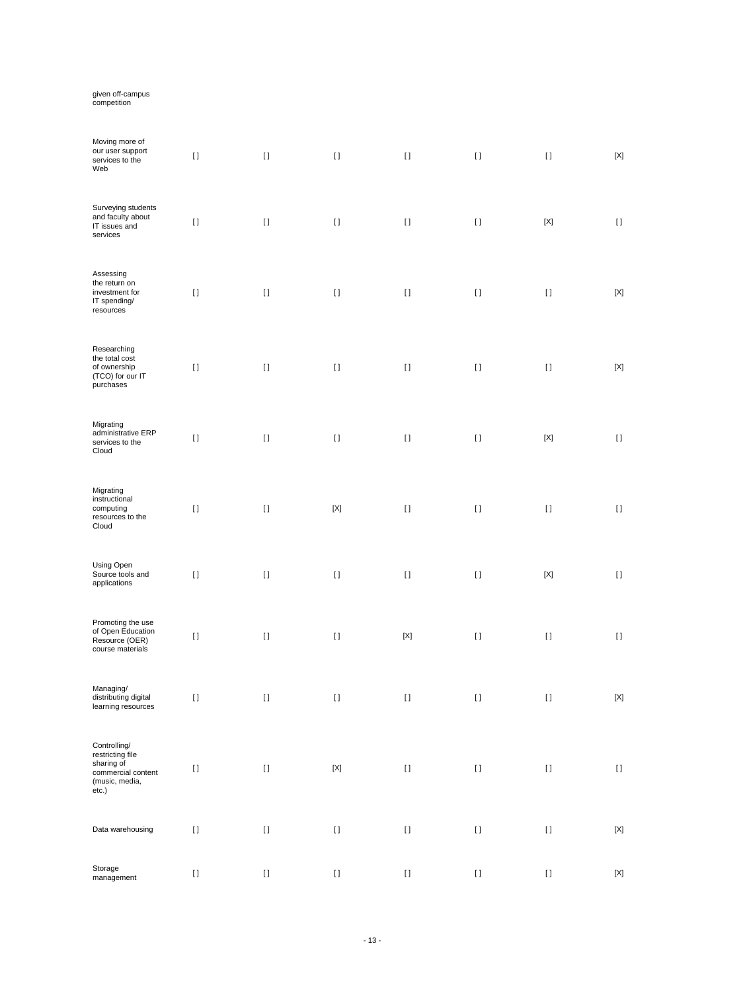# given off-campus competition

| Moving more of<br>our user support<br>services to the<br>Web                                    | $[ \; ]$ | $[ \; ]$           | $[ \; ]$    | $[ \; ]$    | $[ \ ]$                                | $[ \ ]$     | $[{\sf X}]$                            |
|-------------------------------------------------------------------------------------------------|----------|--------------------|-------------|-------------|----------------------------------------|-------------|----------------------------------------|
| Surveying students<br>and faculty about<br>IT issues and<br>services                            | $[ \; ]$ | $[ \; ]$           | $[ \; ]$    | $[ \; ]$    | $[ \; ]$                               | $[{\sf X}]$ | $[ \ ]$                                |
| Assessing<br>the return on<br>investment for<br>IT spending/<br>resources                       | $[ \, ]$ | $\left[ \ \right]$ | $[ \ ]$     | $[ \; ]$    | $[ \; ]$                               | $[ \ ]$     | $[{\sf X}]$                            |
| Researching<br>the total cost<br>of ownership<br>(TCO) for our IT<br>purchases                  | $[ \; ]$ | $\left[ \ \right]$ | $[ \ ]$     | $[ \; ]$    | $[ \; ]$                               | $[ \ ]$     | $[{\sf X}]$                            |
| Migrating<br>administrative ERP<br>services to the<br>Cloud                                     | $[ \; ]$ | $[ \; ]$           | $[ \ ]$     | $[ \ ]$     | $[ \; ]$                               | $[{\sf X}]$ | $[ \ ]$                                |
| Migrating<br>instructional<br>computing<br>resources to the<br>Cloud                            | $[ \; ]$ | $[ \; ]$           | $[{\sf X}]$ | $\lceil$    | $[ \ ]$                                | $[ \ ]$     | $\begin{array}{c} \square \end{array}$ |
| Using Open<br>Source tools and<br>applications                                                  | $[ \, ]$ | $[ \; ]$           | $[ \; ]$    | $[ \ ]$     | $[ \; ]$                               | $[{\sf X}]$ | $[ \ ]$                                |
| Promoting the use<br>of Open Education<br>Resource (OER)<br>course materials                    | $[ \; ]$ | $[ \; ]$           | $[ \; ]$    | $[{\sf X}]$ | $[ \; ]$                               | $[ \ ]$     | $[ \; ]$                               |
| Managing/<br>distributing digital<br>learning resources                                         | $\Box$   | $\Box$             | $\Box$      | $\Box$      | $\prod$                                | $\Box$      | [X]                                    |
| Controlling/<br>restricting file<br>sharing of<br>commercial content<br>(music, media,<br>etc.) | $[ \; ]$ | $\left[ \ \right]$ | $[{\sf X}]$ | $[ \ ]$     | $\begin{array}{c} \square \end{array}$ | $[ \; ]$    | $\left[ \ \right]$                     |
| Data warehousing                                                                                | $[ \, ]$ | $[ \; ]$           | $[ \ ]$     | $[ \; ]$    | $[ \; ]$                               | $[ \; ]$    | $[{\sf X}]$                            |
| Storage<br>management                                                                           | $[ \; ]$ | $\left[ \ \right]$ | $[ \; ]$    | $[ \ ]$     | $[ \; ]$                               | $[ \; ]$    | $[{\sf X}]$                            |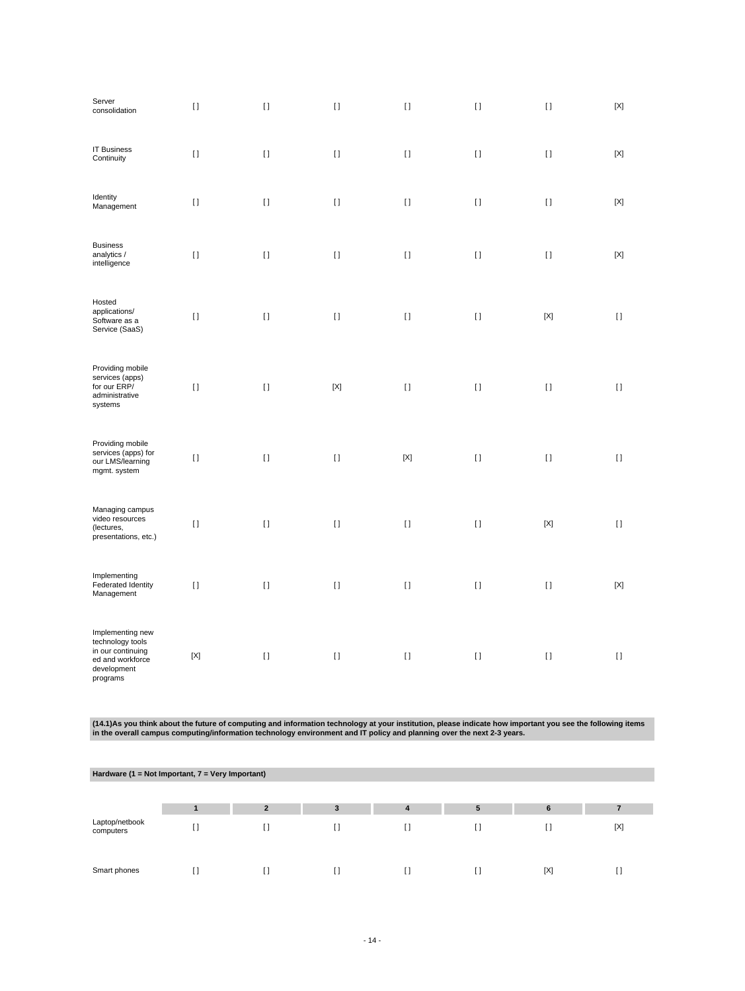| Server<br>consolidation                                                                                  | $[ \; ]$    | $[ \; ]$ | $[ \ ]$     | $[ \; ]$     | $[ \; ]$ | $[ \; ]$    | $[{\sf X}]$ |
|----------------------------------------------------------------------------------------------------------|-------------|----------|-------------|--------------|----------|-------------|-------------|
| <b>IT Business</b><br>Continuity                                                                         | $[ \ ]$     | $[ \; ]$ | $[ \ ]$     | $\mathbf{I}$ | $[ \ ]$  | $[ \; ]$    | $[{\sf X}]$ |
| Identity<br>Management                                                                                   | $[ \ ]$     | $[ \; ]$ | $[ \; ]$    | $[ \; ]$     | $[ \; ]$ | $[ \; ]$    | $[{\sf X}]$ |
| <b>Business</b><br>analytics /<br>intelligence                                                           | $[ \; ]$    | $[ \; ]$ | $[ \; ]$    | $[ \; ]$     | $[ \; ]$ | $[ \; ]$    | $[{\sf X}]$ |
| Hosted<br>applications/<br>Software as a<br>Service (SaaS)                                               | $[ \ ]$     | $[ \ ]$  | $[ \; ]$    | $[ \; ]$     | $[ \; ]$ | $[{\sf X}]$ | $[ \ ]$     |
| Providing mobile<br>services (apps)<br>for our ERP/<br>administrative<br>systems                         | $[ \; ]$    | $[ \; ]$ | $[{\sf X}]$ | $[ \; ]$     | $[ \; ]$ | $[ \; ]$    | $[ \ ]$     |
| Providing mobile<br>services (apps) for<br>our LMS/learning<br>mgmt. system                              | $[ \; ]$    | $[ \; ]$ | $[ \; ]$    | $[{\sf X}]$  | $[ \, ]$ | $[ \; ]$    | $[ \ ]$     |
| Managing campus<br>video resources<br>(lectures,<br>presentations, etc.)                                 | $[ \; ]$    | $[ \; ]$ | $[ \ ]$     | $\mathbf{I}$ | $[ \ ]$  | $[{\sf X}]$ | $[ \ ]$     |
| Implementing<br>Federated Identity<br>Management                                                         | $[ \, ]$    | $[ \ ]$  | $[ \ ]$     | $[ \; ]$     | $[ \, ]$ | $[ \; ]$    | $[{\sf X}]$ |
| Implementing new<br>technology tools<br>in our continuing<br>ed and workforce<br>development<br>programs | $[{\sf X}]$ | $[ \; ]$ | $[ \; ]$    | $[ \; ]$     | $[ \; ]$ | $[ \ ]$     | $[ \ ]$     |

(14.1)As you think about the future of computing and information technology at your institution, please indicate how important you see the following items<br>in the overall campus computing/information technology environment

| Hardware (1 = Not Important, $7$ = Very Important) |  |                |        |     |    |     |     |  |  |
|----------------------------------------------------|--|----------------|--------|-----|----|-----|-----|--|--|
|                                                    |  |                |        |     |    |     |     |  |  |
|                                                    |  | $\overline{2}$ | 3      | 4   | 5  | 6   |     |  |  |
| Laptop/netbook<br>computers                        |  | $\Box$         | $\Box$ | I l | [] |     | [X] |  |  |
| Smart phones                                       |  |                |        | []  |    | [X] |     |  |  |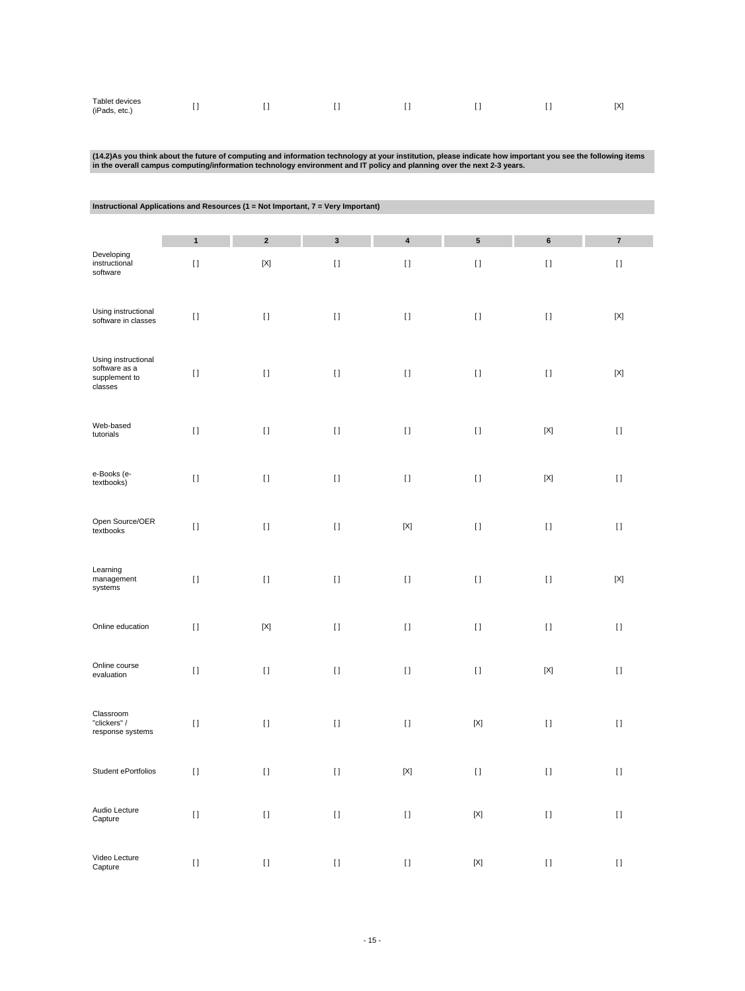| Tablet devices<br>(iPads, etc.) | . . |  |  |  |  |  | [X] |
|---------------------------------|-----|--|--|--|--|--|-----|
|---------------------------------|-----|--|--|--|--|--|-----|

# (14.2)As you think about the future of computing and information technology at your institution, please indicate how important you see the following items<br>in the overall campus computing/information technology environment

|                                                                  | Instructional Applications and Resources (1 = Not Important, 7 = Very Important) |             |             |             |                           |             |                                        |  |  |  |  |
|------------------------------------------------------------------|----------------------------------------------------------------------------------|-------------|-------------|-------------|---------------------------|-------------|----------------------------------------|--|--|--|--|
|                                                                  | $\mathbf{1}$                                                                     | $\mathbf 2$ | $\mathbf 3$ | 4           | ${\bf 5}$                 | 6           | $\bf 7$                                |  |  |  |  |
| Developing<br>instructional<br>software                          | $[ \; ]$                                                                         | $[{\sf X}]$ | $[ \ ]$     | $[ \ ]$     | $\rm I$ l                 | $[ \ ]$     | $\begin{array}{c} \square \end{array}$ |  |  |  |  |
| Using instructional<br>software in classes                       | $[ \; ]$                                                                         | $[ \ ]$     | $[ \; ]$    | $[ \ ]$     | $[ \ ]$                   | $[ \ ]$     | $[{\sf X}]$                            |  |  |  |  |
| Using instructional<br>software as a<br>supplement to<br>classes | $\begin{array}{c} \Pi \end{array}$                                               | $[ \ ]$     | $[ \ ]$     | $[ \, ]$    | $\rm I$ l                 | $[ \ ]$     | $[{\sf X}]$                            |  |  |  |  |
| Web-based<br>tutorials                                           | $[ \ ]$                                                                          | $[ \ ]$     | $[ \; ]$    | $[ \; ]$    | $[ \ ]$                   | $[{\sf X}]$ | $[ \ ]$                                |  |  |  |  |
| e-Books (e-<br>textbooks)                                        | $[ \; ]$                                                                         | $[ \ ]$     | $[ \; ]$    | $[ \; ]$    | $[ \ ]$                   | $[{\sf X}]$ | $[ \ ]$                                |  |  |  |  |
| Open Source/OER<br>textbooks                                     | $[ \; ]$                                                                         | $[ \ ]$     | $[ \ ]$     | $[{\sf X}]$ | $[ \ ]$                   | $[ \ ]$     | $[ \ ]$                                |  |  |  |  |
| Learning<br>management<br>systems                                | $[ \; ]$                                                                         | $[ \ ]$     | $[ \ ]$     | $[ \ ]$     | $[ \ ]$                   | $[ \ ]$     | $[{\sf X}]$                            |  |  |  |  |
| Online education                                                 | $[ \; ]$                                                                         | $[{\sf X}]$ | $[ \; ]$    | $[ \; ]$    | $[ \ ]$                   | $[ \ ]$     | $[ \ ]$                                |  |  |  |  |
| Online course<br>evaluation                                      | $[ \; ]$                                                                         | $[ \; ]$    | $[ \; ]$    | $[ \; ]$    | $[ \ ]$                   | $[{\sf X}]$ | $[ \ ]$                                |  |  |  |  |
| Classroom<br>"clickers" /<br>response systems                    | $[ \ ]$                                                                          | $[ \ ]$     | $[ \; ]$    | $[ \; ]$    | $[{\sf X}]$               | $[ \; ]$    | $[ \ ]$                                |  |  |  |  |
| Student ePortfolios                                              | $[ \ ]$                                                                          | $[ \ ]$     | $[ \ ]$     | $[{\sf X}]$ | $[ \ ]$                   | $[ \ ]$     | $[ \ ]$                                |  |  |  |  |
| Audio Lecture<br>Capture                                         | $[ \: ]$                                                                         | $[ \ ]$     | $[ \: ]$    | $[ \ ]$     | $\left[ \text{X} \right]$ | $[ \ ]$     | $[ \; ]$                               |  |  |  |  |
| Video Lecture<br>Capture                                         | $[ \ ]$                                                                          | $[ \; ]$    | $[ \: ]$    | $[ \ ]$     | $[{\sf X}]$               | $[ \; ]$    | $[ \: ]$                               |  |  |  |  |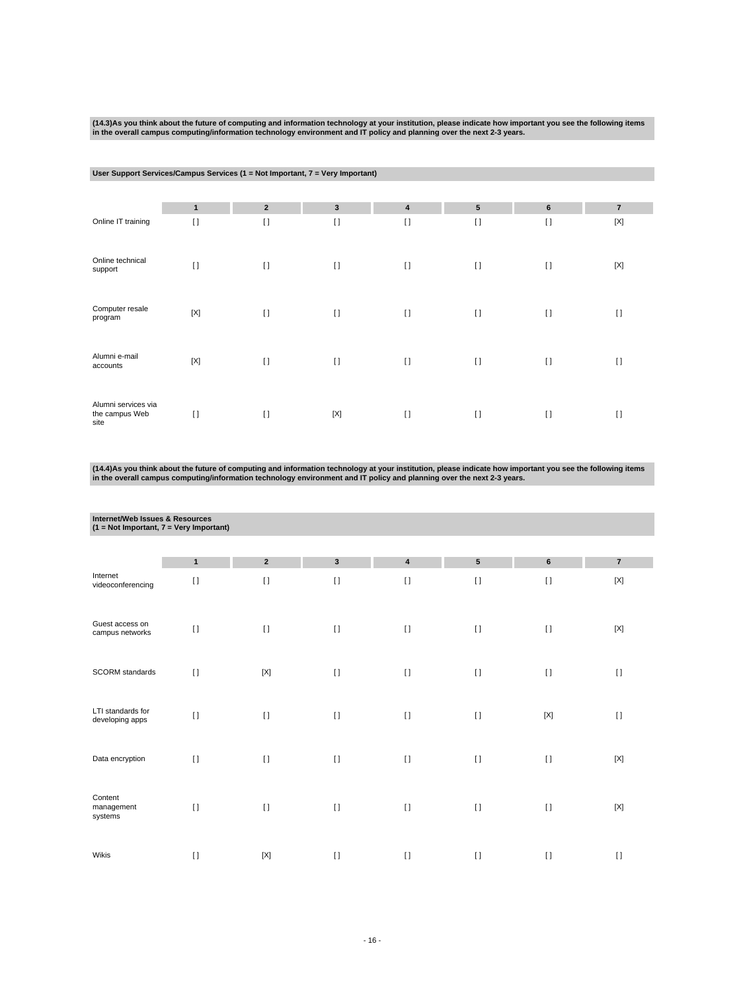(14.3)As you think about the future of computing and information technology at your institution, please indicate how important you see the following items<br>in the overall campus computing/information technology environment

## **User Support Services/Campus Services (1 = Not Important, 7 = Very Important)**

|                                               | $\mathbf{1}$ | $\overline{2}$ | 3           | 4            | ${\bf 5}$ | $6\phantom{1}$ | $\overline{7}$ |
|-----------------------------------------------|--------------|----------------|-------------|--------------|-----------|----------------|----------------|
| Online IT training                            | $[ \ ]$      | $\lceil$       | $\lceil$    | $\mathbf{I}$ | $[ \ ]$   | $\lceil$       | $[{\sf X}]$    |
| Online technical<br>support                   | $[ \ ]$      | $\lceil$       | $\lceil$    | $\mathbf{I}$ | $[ \ ]$   | $\lceil$       | $[{\sf X}]$    |
| Computer resale<br>program                    | $[{\sf X}]$  | $\lceil$       | $\lceil$    | $\mathbf{I}$ | $[ \ ]$   | $\lceil$       | $[ \ ]$        |
| Alumni e-mail<br>accounts                     | $[{\sf X}]$  | $\lceil$       | $\lceil$    | $\mathbf{I}$ | $[ \ ]$   | $\lceil$       | I)             |
| Alumni services via<br>the campus Web<br>site | $[ \ ]$      | $\lceil$       | $[{\sf X}]$ | $\mathbf{I}$ | $[ \ ]$   | $\lceil$       | $\lceil$       |

(14.4)As you think about the future of computing and information technology at your institution, please indicate how important you see the following items<br>in the overall campus computing/information technology environment

|                                      | Internet/Web Issues & Resources<br>$(1 = Not Important, 7 = Very Important)$ |                            |                        |                           |                       |                    |                                |  |  |  |  |
|--------------------------------------|------------------------------------------------------------------------------|----------------------------|------------------------|---------------------------|-----------------------|--------------------|--------------------------------|--|--|--|--|
|                                      |                                                                              |                            |                        |                           |                       |                    |                                |  |  |  |  |
| Internet<br>videoconferencing        | $\mathbf{1}$<br>$[ \ ]$                                                      | $\overline{2}$<br>$\lceil$ | $\mathbf{3}$<br>$\Box$ | $\pmb{4}$<br>$\mathbf{I}$ | ${\bf 5}$<br>$\lceil$ | $\bf 6$<br>$[ \ ]$ | $\overline{\mathbf{7}}$<br>[X] |  |  |  |  |
| Guest access on<br>campus networks   | $[ \ ]$                                                                      | $[ \ ]$                    | $\lceil$               | $[ \; ]$                  | $\lceil$              | $[ \ ]$            | $[{\sf X}]$                    |  |  |  |  |
| SCORM standards                      | $[ \ ]$                                                                      | $[{\sf X}]$                | $[ \ ]$                | $[ \ ]$                   | $[ \ ]$               | $[ \ ]$            | $\lceil$                       |  |  |  |  |
| LTI standards for<br>developing apps | $\mathbf{I}$                                                                 | $\lceil$                   | $\lceil$               | $[1]$                     | $\lceil$              | $[{\sf X}]$        | $\lceil$                       |  |  |  |  |
| Data encryption                      | $\Box$                                                                       | $\Box$                     | $\Box$                 | $\lceil$                  | $\mathbf{I}$          | $[ \ ]$            | $[{\sf X}]$                    |  |  |  |  |
| Content<br>management<br>systems     | $[ \ ]$                                                                      | $\lceil$                   | $\lceil$               | $[ \; ]$                  | $\lceil$              | $[ \ ]$            | $[{\sf X}]$                    |  |  |  |  |
| Wikis                                | $[ \ ]$                                                                      | $[{\sf X}]$                | $\lceil$               | $[ \ ]$                   | $[ \ ]$               | $[ \ ]$            | $\lceil$                       |  |  |  |  |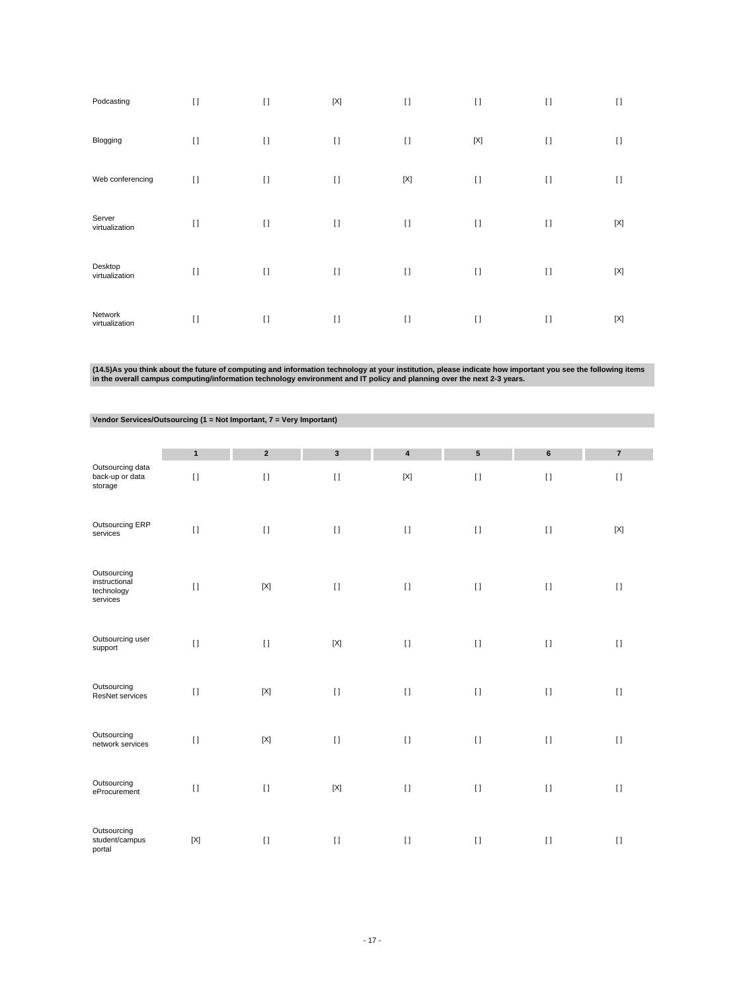| Podcasting                | $[ \ ]$ | $[ \ ]$  | $[{\sf X}]$ | $\lceil$    | $[ \ ]$     | $\lceil$ | $\lceil$    |
|---------------------------|---------|----------|-------------|-------------|-------------|----------|-------------|
| Blogging                  | $[ \ ]$ | $\lceil$ | $\lceil$    | $\lceil$    | $[{\sf X}]$ | $[ \ ]$  | $[ \ ]$     |
| Web conferencing          | $[ \ ]$ | $\lceil$ | $\lceil$    | $[{\sf X}]$ | $[ \ ]$     | $\lceil$ | $\lceil$    |
| Server<br>virtualization  | $[ \ ]$ | $[ \ ]$  | $\lceil$    | $\lceil$    | $[ \ ]$     | $[ \ ]$  | $[{\sf X}]$ |
| Desktop<br>virtualization | $[ \ ]$ | $[ \ ]$  | $\lceil$    | $[ \ ]$     | $[ \ ]$     | $\lceil$ | $[{\sf X}]$ |
| Network<br>virtualization | $[ \ ]$ | $[ \ ]$  | $\lceil$    | $\lceil$    | $\lceil$    | $[ \ ]$  | [X]         |

(14.5)As you think about the future of computing and information technology at your institution, please indicate how important you see the following items<br>in the overall campus computing/information technology environment

|                                                        | $\mathbf{1}$              | $\overline{2}$ | $\overline{3}$ | $\overline{\mathbf{4}}$   | $5\phantom{.0}$ | $6\phantom{1}$ | $\overline{7}$ |
|--------------------------------------------------------|---------------------------|----------------|----------------|---------------------------|-----------------|----------------|----------------|
| Outsourcing data<br>back-up or data<br>storage         | $[ \ ]$                   | $[ \; ]$       | $[ \; ]$       | $[{\sf X}]$               | $[ \; ]$        | $[ \; ]$       | $[ \ ]$        |
| Outsourcing ERP<br>services                            | $[ \ ]$                   | $[ \ ]$        | $[ \; ]$       | $\mathop{\rm I}\nolimits$ | $[ \; ]$        | $[ \ ]$        | $[{\sf X}]$    |
| Outsourcing<br>instructional<br>technology<br>services | $[ \ ]$                   | $[{\sf X}]$    | $[ \; ]$       | $\mathop{\rm I}\nolimits$ | $[ \ ]$         | $[ \ ]$        | $[ \ ]$        |
| Outsourcing user<br>support                            | $[ \ ]$                   | $[ \ ]$        | $[{\sf X}]$    | $[ \; ]$                  | $[ \; ]$        | $[ \ ]$        | $[ \ ]$        |
| Outsourcing<br>ResNet services                         | $[ \ ]$                   | $[{\sf X}]$    | $[ \ ]$        | $[ \; ]$                  | $[ \ ]$         | $\lceil$       | $[ \ ]$        |
| Outsourcing<br>network services                        | $[ \ ]$                   | $[{\sf X}]$    | $[ \; ]$       | $\mathop{\rm I}\nolimits$ | $[ \ ]$         | $[ \ ]$        | $[ \ ]$        |
| Outsourcing<br>eProcurement                            | $\mathbf{I}$              | $[ \ ]$        | $[{\sf X}]$    | $[ \; ]$                  | $[ \ ]$         | $[ \ ]$        | $[ \ ]$        |
| Outsourcing<br>student/campus<br>portal                | $\left[ \text{X} \right]$ | $[ \ ]$        | $[ \ ]$        | $[ \ ]$                   | $[ \ ]$         | $[ \ ]$        | $[ \ ]$        |

## **Vendor Services/Outsourcing (1 = Not Important, 7 = Very Important)**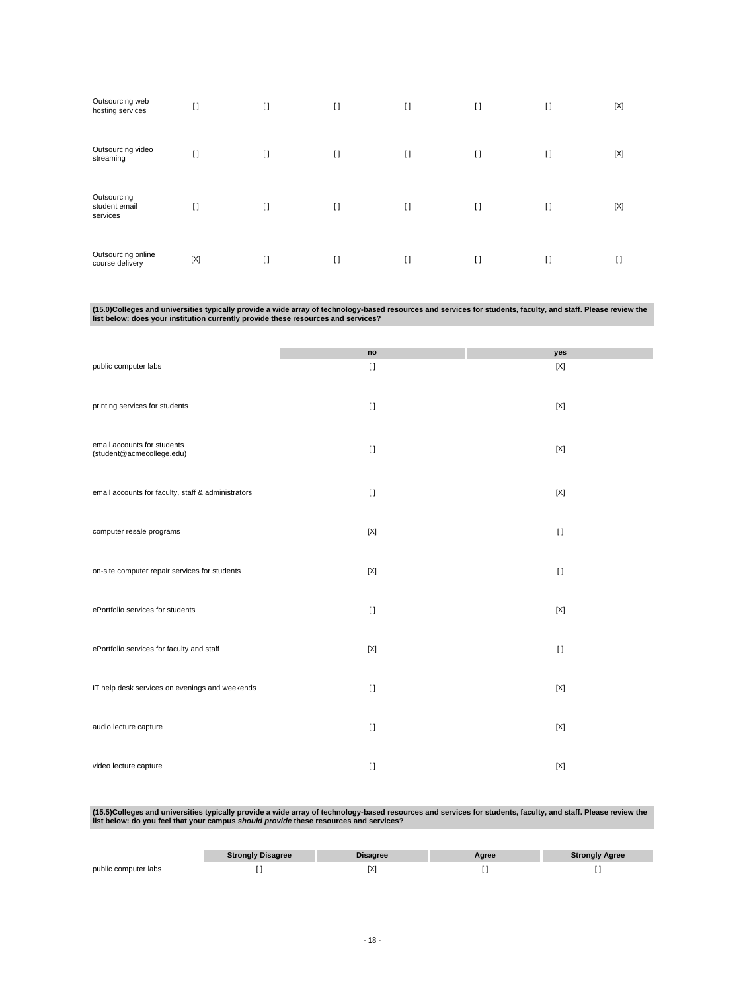| Outsourcing web<br>hosting services      | $[ \ ]$     | $[ \ ]$      | $[ \ ]$ | $\lceil$ | $[ \ ]$ | $\mathbf{I}$ | $[{\sf X}]$ |
|------------------------------------------|-------------|--------------|---------|----------|---------|--------------|-------------|
| Outsourcing video<br>streaming           | $\lceil$    | $\mathbf{I}$ | $[ \ ]$ | $\lceil$ | $[ \ ]$ | $[ \ ]$      | $[{\sf X}]$ |
| Outsourcing<br>student email<br>services | $\Box$      | $[ \ ]$      | $[ \ ]$ | $\lceil$ | $[ \ ]$ | $\mathbf{I}$ | $[{\sf X}]$ |
| Outsourcing online<br>course delivery    | $[{\sf X}]$ | $[ \ ]$      | $[ \ ]$ | $\lceil$ | $[ \ ]$ | $[ \ ]$      | $\lceil$    |

(15.0)Colleges and universities typically provide a wide array of technology-based resources and services for students, faculty, and staff. Please review the<br>Iist below: does your institution currently provide these resour

|                                                          | no          | yes         |
|----------------------------------------------------------|-------------|-------------|
| public computer labs                                     | $\lceil$    | $[{\sf X}]$ |
| printing services for students                           | $[ \; ]$    | $[{\sf X}]$ |
| email accounts for students<br>(student@acmecollege.edu) | $\lceil$    | $[{\sf X}]$ |
| email accounts for faculty, staff & administrators       | $[ \ ]$     | $[{\sf X}]$ |
| computer resale programs                                 | $[{\sf X}]$ | $[ \ ]$     |
| on-site computer repair services for students            | $[{\sf X}]$ | $\lceil$    |
| ePortfolio services for students                         | $[ \ ]$     | $[{\sf X}]$ |
| ePortfolio services for faculty and staff                | $[{\sf X}]$ | $[ \; ]$    |
| IT help desk services on evenings and weekends           | $\lceil$    | $[{\sf X}]$ |
| audio lecture capture                                    | $\lceil$    | $[{\sf X}]$ |
| video lecture capture                                    | $\lceil$    | $[{\sf X}]$ |

(15.5)Colleges and universities typically provide a wide array of technology-based resources and services for students, faculty, and staff. Please review the<br>Iist below: do you feel that your campus *should provide* these

|                      | <b>Strongly Disagree</b> | Disagree | Aaree | <b>Strongly Agree</b> |
|----------------------|--------------------------|----------|-------|-----------------------|
| public computer labs |                          |          |       |                       |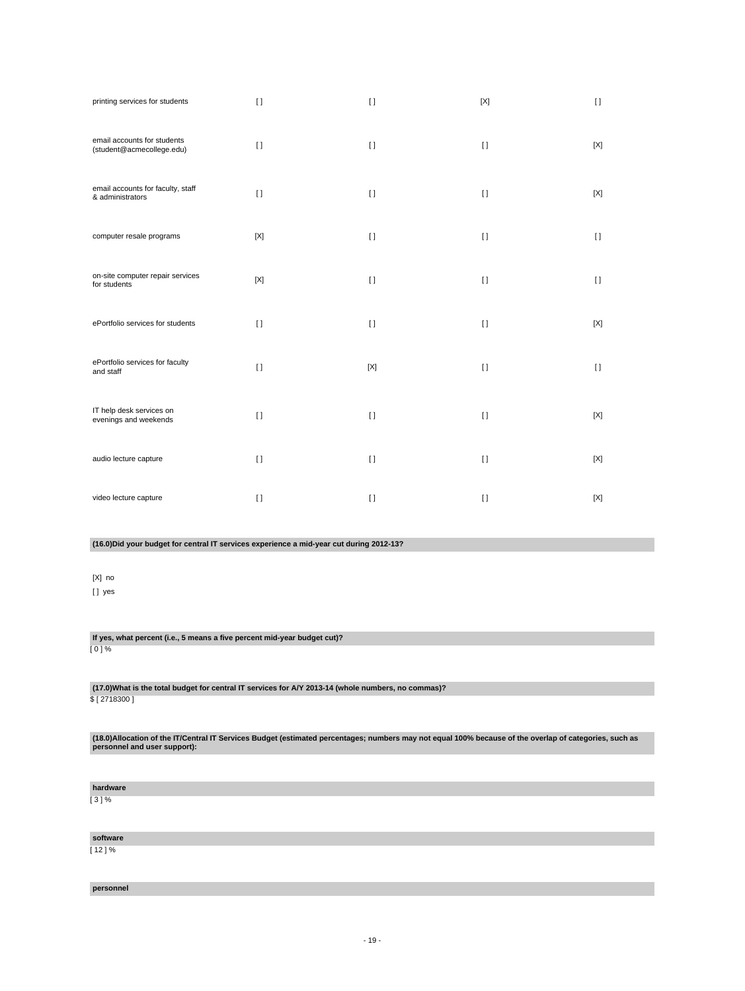| printing services for students                                                           | $[ \; ]$    | $[ \ ]$      | $[{\sf X}]$ | $[ \; ]$    |
|------------------------------------------------------------------------------------------|-------------|--------------|-------------|-------------|
| email accounts for students<br>(student@acmecollege.edu)                                 | $\lceil$    | $\mathbf{I}$ | $[ \ ]$     | [X]         |
| email accounts for faculty, staff<br>& administrators                                    | $[ \ ]$     | $[ \ ]$      | $[ \ ]$     | $[{\sf X}]$ |
| computer resale programs                                                                 | $[{\sf X}]$ | $\mathbf{I}$ | $[ \ ]$     | $[ \ ]$     |
| on-site computer repair services<br>for students                                         | $[{\sf X}]$ | $\mathbf{I}$ | $[ \ ]$     | $[ \ ]$     |
| ePortfolio services for students                                                         | $[ \ ]$     | $[ \ ]$      | $[ \ ]$     | [X]         |
| ePortfolio services for faculty<br>and staff                                             | $\lceil$    | $[{\sf X}]$  | $[ \ ]$     | $[ \ ]$     |
| IT help desk services on<br>evenings and weekends                                        | $\lceil$    | $\lceil$     | $[ \ ]$     | $[{\sf X}]$ |
| audio lecture capture                                                                    | $[ \ ]$     | $\lceil$     | $[ \ ]$     | $[{\sf X}]$ |
| video lecture capture                                                                    | $\lceil$    | $[ \; ]$     | $[ \ ]$     | $[{\sf X}]$ |
| (16.0) Did your budget for central IT services experience a mid-year cut during 2012-13? |             |              |             |             |
| $[X]$ no<br>[] yes                                                                       |             |              |             |             |

**(17.0)What is the total budget for central IT services for A/Y 2013-14 (whole numbers, no commas)?** \$ [ 2718300 ]

**If yes, what percent (i.e., 5 means a five percent mid-year budget cut)?**

**(18.0)Allocation of the IT/Central IT Services Budget (estimated percentages; numbers may not equal 100% because of the overlap of categories, such as personnel and user support):**

**hardware**

 $[0] \%$ 

[ 3 ] %

**software** [ 12 ] %

**personnel**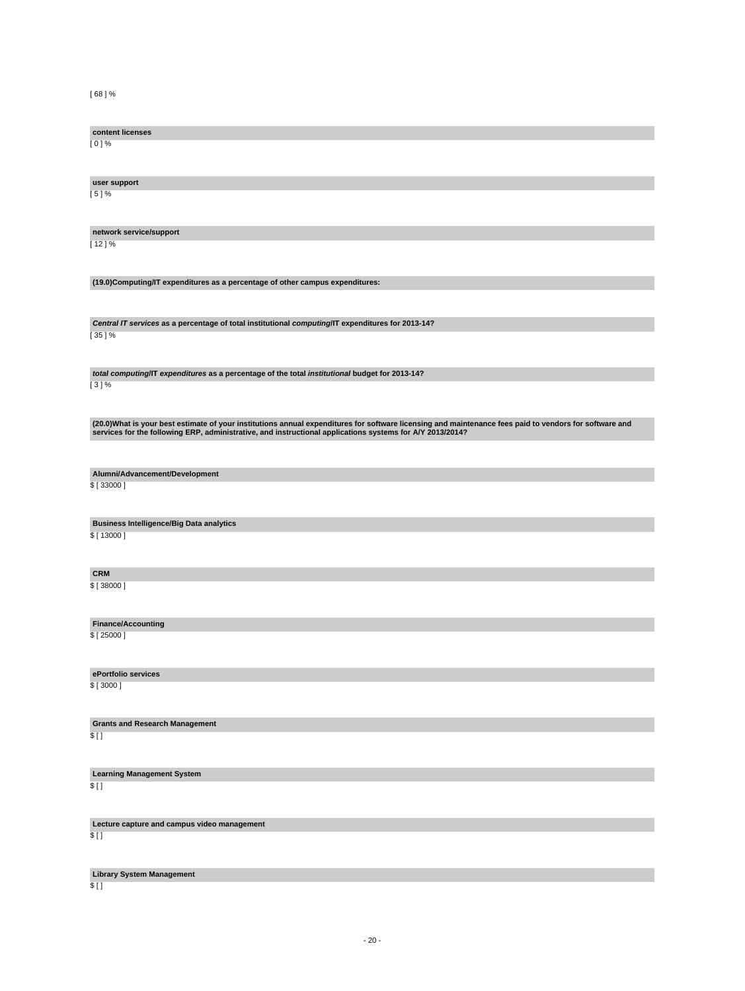[ 68 ] %

**content licenses** [ 0 ] % **user support** [ 5 ] % **network service/support** [ 12 ] % **(19.0)Computing/IT expenditures as a percentage of other campus expenditures: Central IT services as a percentage of total institutional computing/IT expenditures for 2013-14?**  $[35] \%$ **total computing/IT expenditures as a percentage of the total institutional budget for 2013-14?** [ 3 ] % (20.0)What is your best estimate of your institutions annual expenditures for software licensing and maintenance fees paid to vendors for software and<br>services for the following ERP, administrative, and instructional appli **Alumni/Advancement/Development** \$ [ 33000 ] **Business Intelligence/Big Data analytics** \$ [ 13000 ] **CRM** \$ [ 38000 ] **Finance/Accounting** \$ [ 25000 ] **ePortfolio services** \$ [ 3000 ] **Grants and Research Management** \$ [ ] **Learning Management System** \$ [ ] **Lecture capture and campus video management**  $$$  [ ]

**Library System Management**

 $$$  [ ]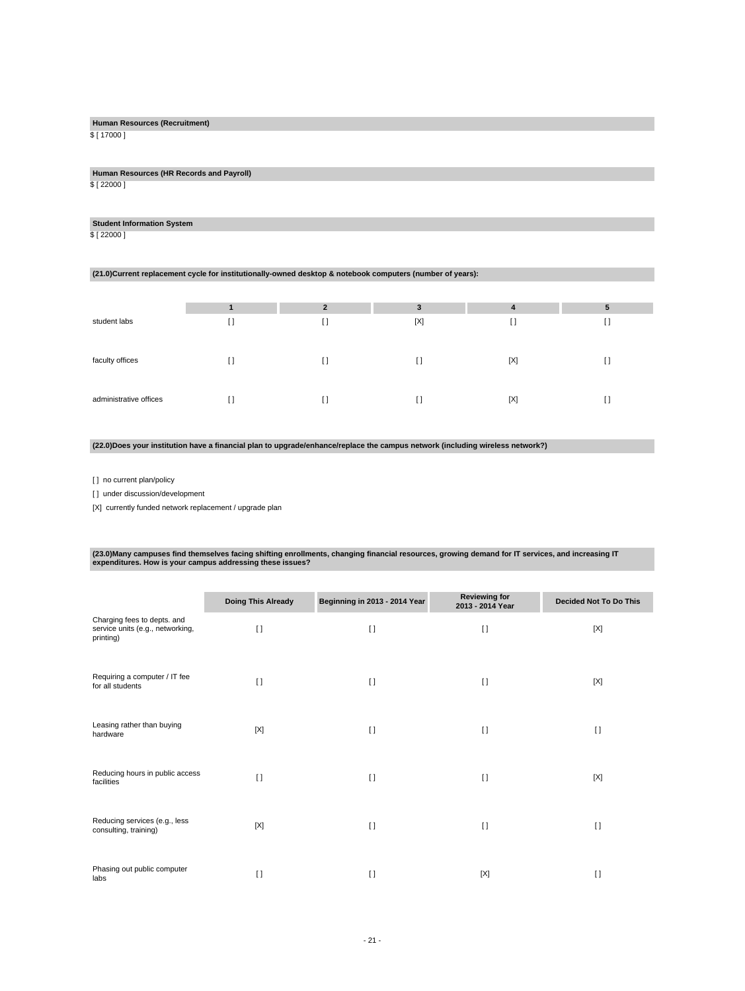## **Human Resources (Recruitment)**

\$ [ 17000 ]

**Human Resources (HR Records and Payroll)** \$ [ 22000 ]

## **Student Information System**

\$ [ 22000 ]

#### **(21.0)Current replacement cycle for institutionally-owned desktop & notebook computers (number of years):**

|                        |           | $\overline{\phantom{a}}$ | 3   | 4           | 5 |
|------------------------|-----------|--------------------------|-----|-------------|---|
| student labs           | . .<br>IJ |                          | [X] | U           |   |
| faculty offices        | $\Box$    | $\Box$                   | U   | $[{\sf X}]$ |   |
| administrative offices | H         | U                        |     | [X]         |   |

#### **(22.0)Does your institution have a financial plan to upgrade/enhance/replace the campus network (including wireless network?)**

[ ] no current plan/policy

[] under discussion/development

[X] currently funded network replacement / upgrade plan

# **(23.0)Many campuses find themselves facing shifting enrollments, changing financial resources, growing demand for IT services, and increasing IT expenditures. How is your campus addressing these issues?**

|                                                                              | <b>Doing This Already</b> | Beginning in 2013 - 2014 Year | <b>Reviewing for</b><br>2013 - 2014 Year | <b>Decided Not To Do This</b> |
|------------------------------------------------------------------------------|---------------------------|-------------------------------|------------------------------------------|-------------------------------|
| Charging fees to depts. and<br>service units (e.g., networking,<br>printing) | $\lceil$                  | $\lceil$                      | $\lceil$                                 | [X]                           |
| Requiring a computer / IT fee<br>for all students                            | $\Box$                    | $\Box$                        | $\Box$                                   | [X]                           |
| Leasing rather than buying<br>hardware                                       | [X]                       | $\Box$                        | $\Box$                                   | $[ \ ]$                       |
| Reducing hours in public access<br>facilities                                | $\Box$                    | $\Box$                        | $\Box$                                   | [X]                           |
| Reducing services (e.g., less<br>consulting, training)                       | [X]                       | $\Box$                        | $\Box$                                   | $\Box$                        |
| Phasing out public computer<br>labs                                          | $\Box$                    | $\lceil$                      | [X]                                      | $\lceil$                      |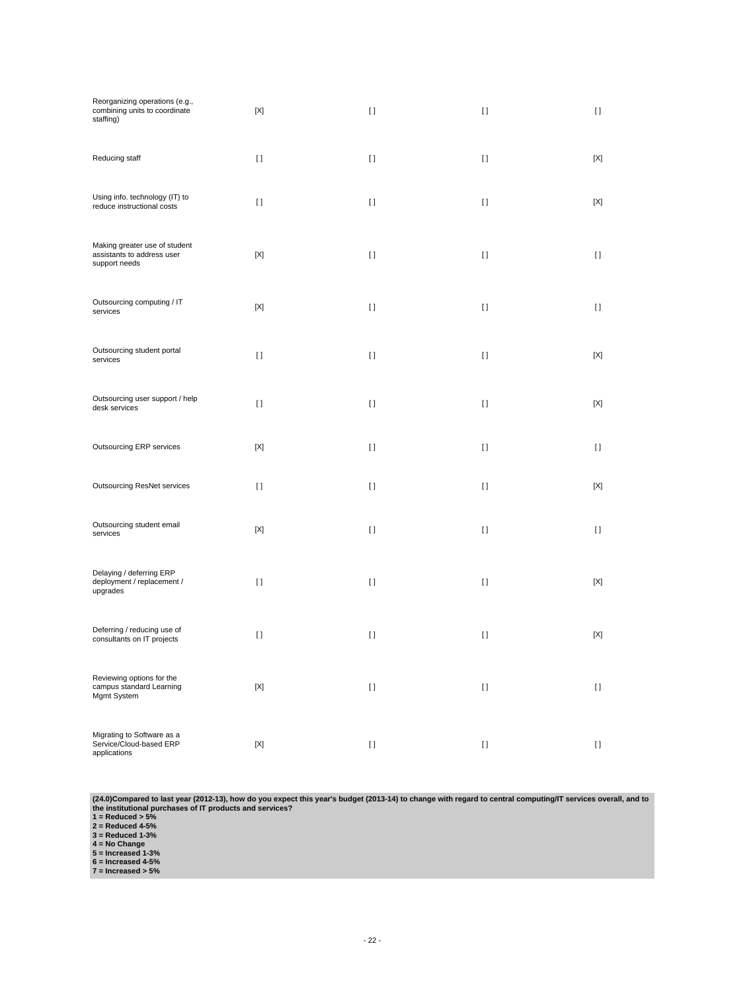| Reorganizing operations (e.g.,<br>combining units to coordinate<br>staffing) | $[{\sf X}]$ | $\lceil$ | $[ \ ]$  | $[ \ ]$      |
|------------------------------------------------------------------------------|-------------|----------|----------|--------------|
| Reducing staff                                                               | $[ \ ]$     | $[ \ ]$  | $[ \ ]$  | [X]          |
| Using info. technology (IT) to<br>reduce instructional costs                 | $[ \ ]$     | $[ \ ]$  | $[ \ ]$  | [X]          |
| Making greater use of student<br>assistants to address user<br>support needs | [X]         | $[ \ ]$  | $[ \ ]$  | $\mathbf{I}$ |
| Outsourcing computing / IT<br>services                                       | [X]         | $[ \ ]$  | $[ \ ]$  | $[ \ ]$      |
| Outsourcing student portal<br>services                                       | $[ \ ]$     | $\lceil$ | $[ \ ]$  | [X]          |
| Outsourcing user support / help<br>desk services                             | $\lceil$    | $\lceil$ | $[ \ ]$  | [X]          |
| Outsourcing ERP services                                                     | [X]         | $[ \; ]$ | $[ \ ]$  | $[ \ ]$      |
| <b>Outsourcing ResNet services</b>                                           | $\lceil$    | $\lceil$ | $[ \ ]$  | [X]          |
| Outsourcing student email<br>services                                        | $[{\sf X}]$ | $[ \; ]$ | $[ \ ]$  | $[ \ ]$      |
| Delaying / deferring ERP<br>deployment / replacement /<br>upgrades           | $\lceil$    | $[ \; ]$ | $[ \ ]$  | [X]          |
| Deferring / reducing use of<br>consultants on IT projects                    | $[ \ ]$     | $[ \; ]$ | $[ \ ]$  | [X]          |
| Reviewing options for the<br>campus standard Learning<br>Mgmt System         | $[{\sf X}]$ | $[ \; ]$ | $[ \; ]$ | $\mathbf{I}$ |
| Migrating to Software as a<br>Service/Cloud-based ERP<br>applications        | $[{\sf X}]$ | $[ \ ]$  | $[ \; ]$ | $\mathbf{I}$ |

(24.0)Compared to last year (2012-13), how do you expect this year's budget (2013-14) to change with regard to central computing/IT services overall, and to<br>the institutional purchases of IT products and services?<br>1 = Redu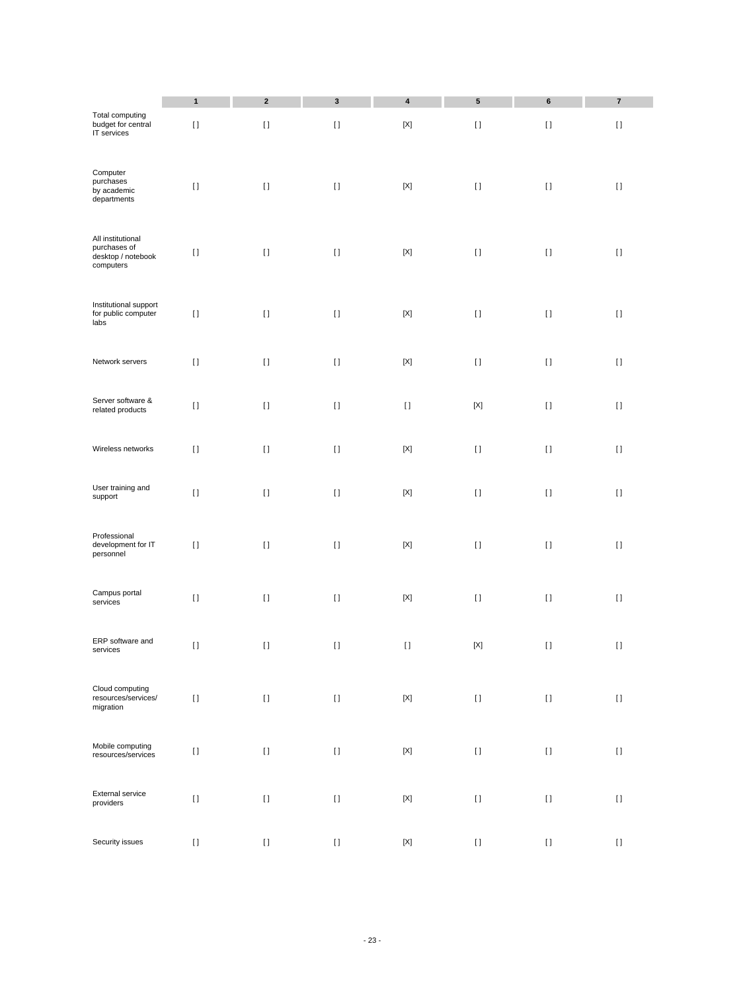|                                                                      | $\mathbf{1}$                                                                                                                                                                                          | $\mathbf 2$ | $\mathbf 3$         | 4                         | 5           | 6        | $\bf 7$            |
|----------------------------------------------------------------------|-------------------------------------------------------------------------------------------------------------------------------------------------------------------------------------------------------|-------------|---------------------|---------------------------|-------------|----------|--------------------|
| <b>Total computing</b><br>budget for central<br>IT services          | $[ \ ]$                                                                                                                                                                                               | $[ \ ]$     | $[ \ ]$             | $[{\sf X}]$               | $[ \ ]$     | $[ \ ]$  | $[ \; ]$           |
| Computer<br>purchases<br>by academic<br>departments                  | $[ \ ]$                                                                                                                                                                                               | $[ \ ]$     | $[ \ ]$             | $[{\sf X}]$               | $[ \, ]$    | $[ \; ]$ | $[ \ ]$            |
| All institutional<br>purchases of<br>desktop / notebook<br>computers | $[ \; ]$                                                                                                                                                                                              | $[ \ ]$     | $[ \; ]$            | $[{\sf X}]$               | $[ \ ]$     | $[ \ ]$  | $[ \ ]$            |
| Institutional support<br>for public computer<br>labs                 | $[ \; ]$                                                                                                                                                                                              | $[ \; ]$    | $\left[ \ \right]$  | $[{\sf X}]$               | $[ \ ]$     | $[ \ ]$  | $[ \ ]$            |
| Network servers                                                      | $[ \; ]$                                                                                                                                                                                              | $[ \; ]$    | $[ \; ]$            | $[{\sf X}]$               | $[ \; ]$    | $[ \ ]$  | $[ \ ]$            |
| Server software &<br>related products                                | $[ \; ]$                                                                                                                                                                                              | $[ \; ]$    | $[ \; ]$            | $[ \; ]$                  | $[{\sf X}]$ | $[ \ ]$  | $[ \ ]$            |
| Wireless networks                                                    | $[ \ ]$                                                                                                                                                                                               | $[ \ ]$     | $[ \ ]$             | $[{\sf X}]$               | $[ \ ]$     | $[ \ ]$  | $[ \ ]$            |
| User training and<br>support                                         | $[ \ ]$                                                                                                                                                                                               | $[ \ ]$     | $[ \; ]$            | $[{\sf X}]$               | $[ \ ]$     | $[ \; ]$ | $[ \ ]$            |
| Professional<br>development for IT<br>personnel                      | $[ \ ]$                                                                                                                                                                                               | $[ \ ]$     | $[ \ ]$             | $[{\sf X}]$               | $[ \ ]$     | $[ \ ]$  | $[ \ ]$            |
| Campus portal<br>services                                            | $[ \ ]$                                                                                                                                                                                               | $[ \ ]$     | $[ \ ]$             | $[{\sf X}]$               | $[ \ ]$     | $[ \; ]$ | $[ \ ]$            |
| ERP software and<br>services                                         | $[ \ ]$                                                                                                                                                                                               | $[ \ ]$     | $[ \; ]$            | $\left[ \; \right]$       | $[{\sf X}]$ | $[ \ ]$  | $[ \ ]$            |
| Cloud computing<br>resources/services/<br>migration                  | $[] \centering \includegraphics[width=0.47\textwidth]{images/TrDiS-Architecture.png} \caption{The 3D (top) and 4D (bottom) are used for the 3D (bottom) and 3D (bottom).} \label{TrDiS-Architecture}$ | $[ \; ]$    | $[ \ ]$             | $[{\sf X}]$               | $[ \, ]$    | $[ \ ]$  | $[ \ ]$            |
| Mobile computing<br>resources/services                               | $[ \ ]$                                                                                                                                                                                               | $[ \; ]$    | $[ \ ]$             | $[{\sf X}]$               | $[ \ ]$     | $[ \ ]$  | $\left[ \ \right]$ |
| External service<br>providers                                        | $[ \; ]$                                                                                                                                                                                              | $[ \; ]$    | $\left[ \, \right]$ | $[{\sf X}]$               | $[ \; ]$    | $[ \; ]$ | $[ \ ]$            |
| Security issues                                                      | $[ \; ]$                                                                                                                                                                                              | $[ \ ]$     | $\left[ \, \right]$ | $\left[ \text{X} \right]$ | $[ \, ]$    | $[ \ ]$  | $\left[ \ \right]$ |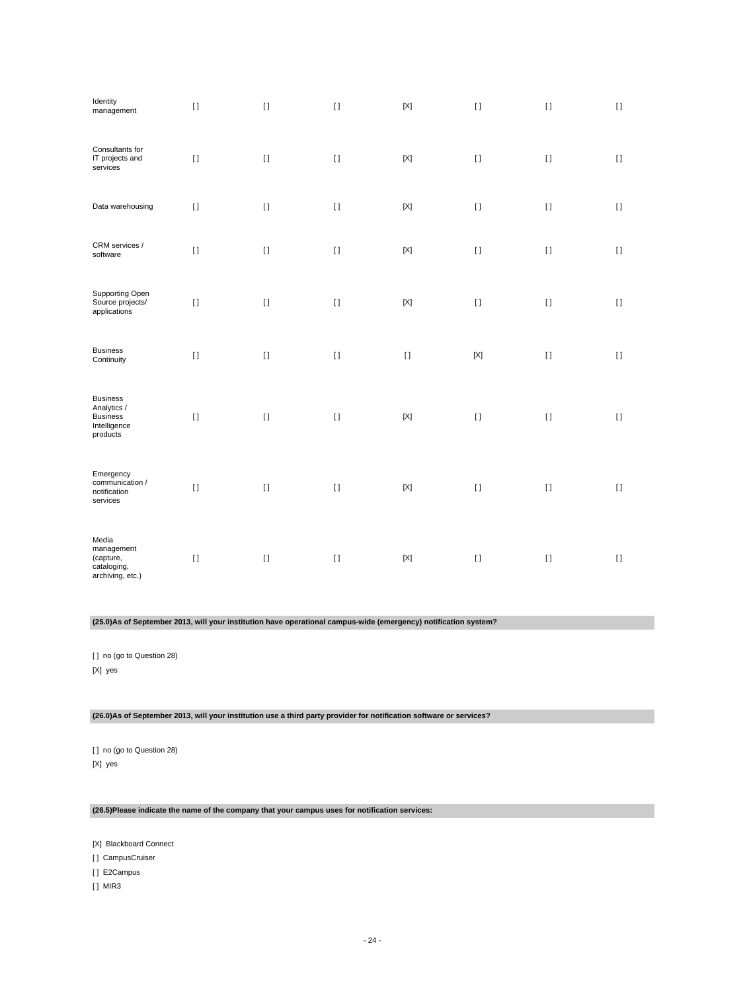| Identity<br>management                                                        | $[ \ ]$  | $[ \; ]$ | $[ \ ]$  | $[{\sf X}]$                            | $[ \; ]$    | $[ \; ]$           | $[ \ ]$  |
|-------------------------------------------------------------------------------|----------|----------|----------|----------------------------------------|-------------|--------------------|----------|
| Consultants for<br>IT projects and<br>services                                | $[ \ ]$  | $[ \ ]$  | $[ \ ]$  | $[{\sf X}]$                            | $[ \ ]$     | $[ \; ]$           | $[ \; ]$ |
| Data warehousing                                                              | $[ \; ]$ | $[ \; ]$ | $[ \; ]$ | $[{\sf X}]$                            | $[ \; ]$    | $[ \ ]$            | $[ \ ]$  |
| CRM services /<br>software                                                    | $[ \ ]$  | $[ \ ]$  | $[ \ ]$  | $[{\sf X}]$                            | $[ \; ]$    | $[ \ ]$            | $[ \; ]$ |
| Supporting Open<br>Source projects/<br>applications                           | $[ \ ]$  | $[ \ ]$  | $[ \; ]$ | $\left[ \text{X} \right]$              | $[ \; ]$    | $[ \ ]$            | $[ \ ]$  |
| <b>Business</b><br>Continuity                                                 | $[ \ ]$  | $[ \ ]$  | $[ \ ]$  | $\begin{array}{c} \square \end{array}$ | $[{\sf X}]$ | $\left[ \ \right]$ | $[ \ ]$  |
| <b>Business</b><br>Analytics /<br><b>Business</b><br>Intelligence<br>products | $[ \ ]$  | $[ \ ]$  | $[ \ ]$  | $\left[ \text{X} \right]$              | $[ \; ]$    | $[ \ ]$            | $[ \ ]$  |
| Emergency<br>communication /<br>notification<br>services                      | $[ \; ]$ | $[ \ ]$  | $[ \; ]$ | $\left[ \text{X} \right]$              | $[ \; ]$    | $[ \ ]$            | $[ \ ]$  |
| Media<br>management<br>(capture,<br>cataloging,<br>archiving, etc.)           | $[ \ ]$  | $[ \; ]$ | $[ \; ]$ | $\left[ \text{X} \right]$              | $[ \ ]$     | $[ \ ]$            | $[ \; ]$ |

**(25.0)As of September 2013, will your institution have operational campus-wide (emergency) notification system?**

[ ] no (go to Question 28) [X] yes

**(26.0)As of September 2013, will your institution use a third party provider for notification software or services?**

[ ] no (go to Question 28) [X] yes

## **(26.5)Please indicate the name of the company that your campus uses for notification services:**

[X] Blackboard Connect

[] CampusCruiser

[ ] E2Campus

[ ] MIR3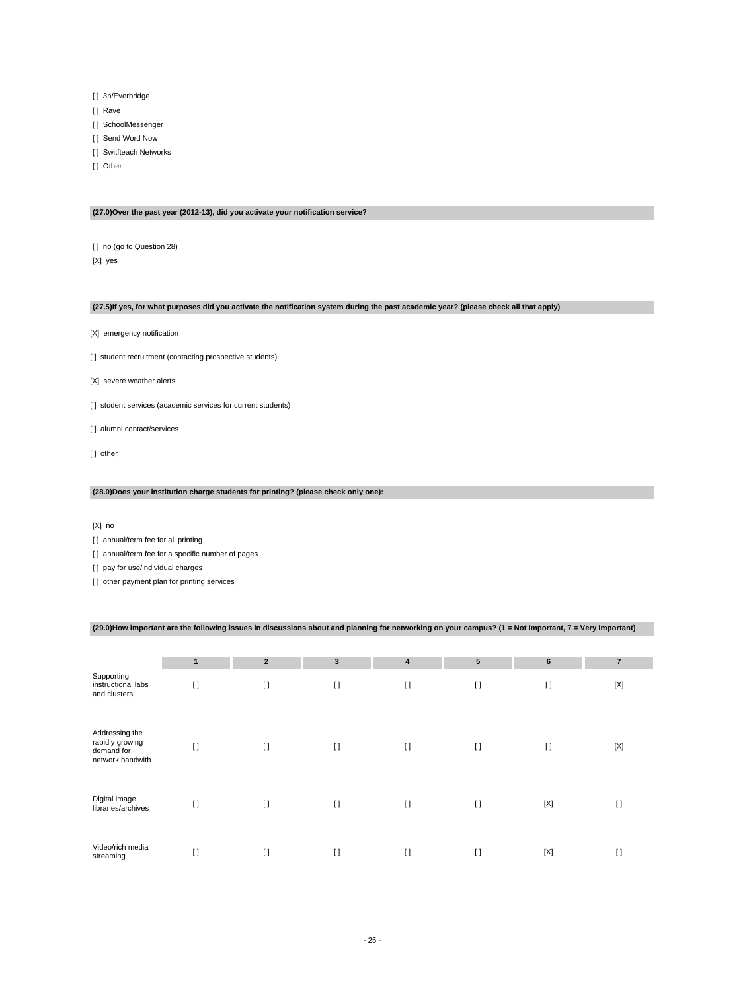- [] 3n/Everbridge
- [] Rave
- [ ] SchoolMessenger
- [ ] Send Word Now
- [ ] Switfteach Networks
- [ ] Other

#### **(27.0)Over the past year (2012-13), did you activate your notification service?**

[ ] no (go to Question 28) [X] yes

#### **(27.5)If yes, for what purposes did you activate the notification system during the past academic year? (please check all that apply)**

- [X] emergency notification
- [] student recruitment (contacting prospective students)
- [X] severe weather alerts
- [] student services (academic services for current students)
- [] alumni contact/services
- [] other

#### **(28.0)Does your institution charge students for printing? (please check only one):**

[X] no

[ ] annual/term fee for all printing

[ ] annual/term fee for a specific number of pages

[ ] pay for use/individual charges

[] other payment plan for printing services

## **(29.0)How important are the following issues in discussions about and planning for networking on your campus? (1 = Not Important, 7 = Very Important)**

|                                                                     | $\mathbf{1}$ | $\overline{2}$ | $\mathbf{3}$ | $\overline{\mathbf{4}}$ | 5        | $6\phantom{1}$ | $\overline{7}$ |
|---------------------------------------------------------------------|--------------|----------------|--------------|-------------------------|----------|----------------|----------------|
| Supporting<br>instructional labs<br>and clusters                    | $[ \ ]$      | $\lceil$       | $\lceil$     | $\mathbf{I}$            | $[ \ ]$  | $[ \ ]$        | $[{\sf X}]$    |
| Addressing the<br>rapidly growing<br>demand for<br>network bandwith | $[ \ ]$      | $[ \ ]$        | $\lceil$     | $\mathbf{I}$            | $[ \ ]$  | $\lceil$       | $[{\sf X}]$    |
| Digital image<br>libraries/archives                                 | $\lceil$     | $[ \ ]$        | $\lceil$     | $\mathbf{I}$            | $[ \ ]$  | $[{\sf X}]$    | $\lceil$       |
| Video/rich media<br>streaming                                       | $[ \ ]$      | $[ \ ]$        | $\lceil$     | $\mathbf{I}$            | $\lceil$ | $[{\sf X}]$    | $\lceil$       |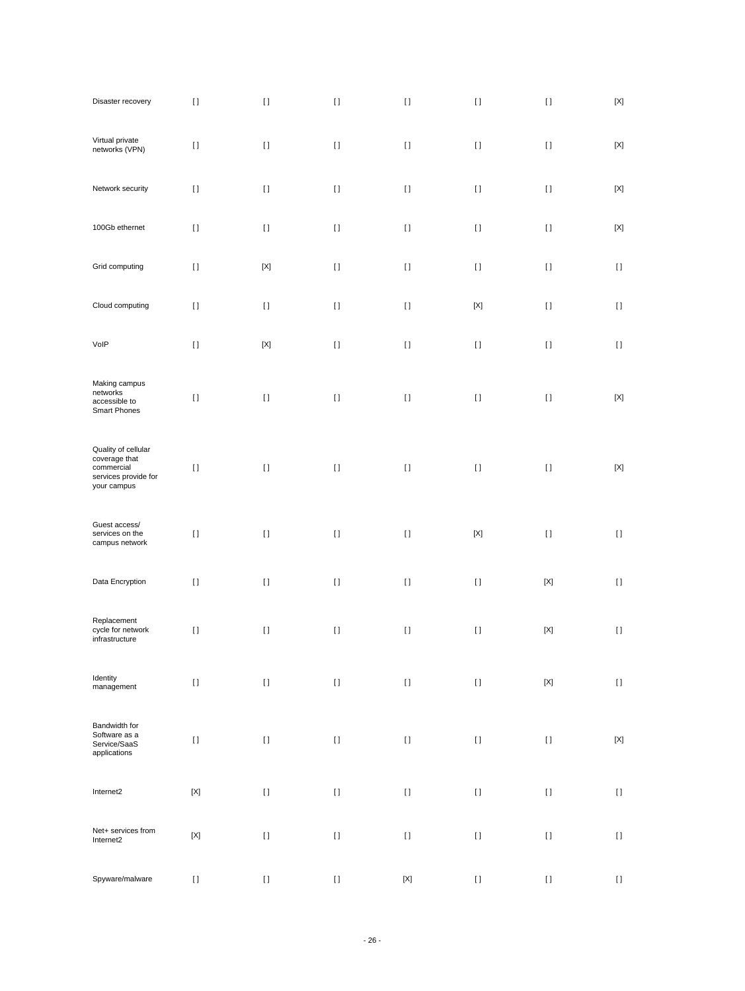| Disaster recovery                                                                         | $[ \; ]$    | $[ \ ]$                                | $[ \ ]$                                                                                                                                                                                               | $[ \ ]$                                | $[ \; ]$                                                                                                                                                                                                                                           | $[ \; ]$           | $[{\sf X}]$                            |
|-------------------------------------------------------------------------------------------|-------------|----------------------------------------|-------------------------------------------------------------------------------------------------------------------------------------------------------------------------------------------------------|----------------------------------------|----------------------------------------------------------------------------------------------------------------------------------------------------------------------------------------------------------------------------------------------------|--------------------|----------------------------------------|
| Virtual private<br>networks (VPN)                                                         | $[ \ ]$     | $[ \ ]$                                | $[ \ ]$                                                                                                                                                                                               | $\begin{array}{c} \square \end{array}$ | $[ \ ]$                                                                                                                                                                                                                                            | $[ \ ]$            | $[{\sf X}]$                            |
| Network security                                                                          | $[ \ ]$     | $[ \ ]$                                | $[ \ ]$                                                                                                                                                                                               | $\begin{array}{c} \square \end{array}$ | $[ \ ]$                                                                                                                                                                                                                                            | $[ \ ]$            | $[{\sf X}]$                            |
| 100Gb ethernet                                                                            | $[ \ ]$     | $[ \; ]$                               | $[ \ ]$                                                                                                                                                                                               | $\begin{array}{c} \square \end{array}$ | $[ \ ]$                                                                                                                                                                                                                                            | $[ \ ]$            | $[{\sf X}]$                            |
| Grid computing                                                                            | $[ \ ]$     | $[{\sf X}]$                            | $[ \ ]$                                                                                                                                                                                               | $\begin{array}{c} \square \end{array}$ | $[ \ ]$                                                                                                                                                                                                                                            | $[ \ ]$            | $[ \ ]$                                |
| Cloud computing                                                                           | $[ \ ]$     | $[ \ ]$                                | $[ \ ]$                                                                                                                                                                                               | $\begin{array}{c} \square \end{array}$ | $\left[ \text{X} \right]$                                                                                                                                                                                                                          | $[ \ ]$            | $[ \ ]$                                |
| VolP                                                                                      | $[ \; ]$    | $[{\sf X}]$                            | $[ \ ]$                                                                                                                                                                                               | $[ \ ]$                                | $\begin{array}{c} \Pi \end{array}$                                                                                                                                                                                                                 | $\left[ \ \right]$ | $[ \; ]$                               |
| Making campus<br>networks<br>accessible to<br>Smart Phones                                | $[ \ ]$     | $[ \ ]$                                | $[ \; ]$                                                                                                                                                                                              | $[ \; ]$                               | $[ \ ]$                                                                                                                                                                                                                                            | $[ \ ]$            | $[{\sf X}]$                            |
| Quality of cellular<br>coverage that<br>commercial<br>services provide for<br>your campus | $[ \ ]$     | $[ \ ]$                                | $[ \ ]$                                                                                                                                                                                               | $[ \ ]$                                | $[ \ ]$                                                                                                                                                                                                                                            | $[ \ ]$            | $[{\sf X}]$                            |
| Guest access/<br>services on the<br>campus network                                        | $[ \; ]$    | $[ \; ]$                               | $[ \ ]$                                                                                                                                                                                               | $\begin{array}{c} \square \end{array}$ | $[{\sf X}]$                                                                                                                                                                                                                                        | $[ \ ]$            | $[ \ ]$                                |
| Data Encryption                                                                           | $[ \ ]$     | $\begin{array}{c} \square \end{array}$ | $[ \; ]$                                                                                                                                                                                              | $\mathbf{I}$                           | $[ \ ]$                                                                                                                                                                                                                                            | $[{\sf X}]$        | $[ \ ]$                                |
| Replacement<br>cycle for network<br>infrastructure                                        | $[ \ ]$     | $[ \ ]$                                | $[ \ ]$                                                                                                                                                                                               | $[ \ ]$                                | $\begin{array}{c} \Pi \end{array}$                                                                                                                                                                                                                 | $[{\sf X}]$        | $\left[ \ \right]$                     |
| Identity<br>management                                                                    | $[ \ ]$     | $[ \ ]$                                | $[ \ ]$                                                                                                                                                                                               | $[ \; ]$                               | $[ \, ]$                                                                                                                                                                                                                                           | $[{\sf X}]$        | $\begin{array}{c} \square \end{array}$ |
| Bandwidth for<br>Software as a<br>Service/SaaS<br>applications                            | $[ \ ]$     | $[ \ ]$                                | $[ \ ]$                                                                                                                                                                                               | $[ \ ]$                                | $[ \, ]$                                                                                                                                                                                                                                           | $[ \; ]$           | $[{\sf X}]$                            |
| Internet2                                                                                 | $[{\sf X}]$ | $[ \ ]$                                | $[ \; ]$                                                                                                                                                                                              | $[ \ ]$                                | $[] \centering \includegraphics[width=0.47\textwidth]{images/TrDiS-Architecture.png} \caption{The 3D (top) and 4D (bottom) are used for the 3D (bottom) and 3D (bottom) are used for the 3D (bottom) and 3D (bottom).} \label{TrDiS-Architecture}$ | $[ \; ]$           | $[ \; ]$                               |
| Net+ services from<br>Internet2                                                           | $[{\sf X}]$ | $[ \ ]$                                | $[ \; ]$                                                                                                                                                                                              | $[ \ ]$                                | $[] \centering \includegraphics[width=0.47\textwidth]{images/TrDiS-Architecture.png} \caption{The 3D (top) and 4D (bottom) are used for the 3D (bottom) and 3D (bottom) are used for the 3D (bottom) and 3D (bottom).} \label{TrDiS-Architecture}$ | $[ \; ]$           | $[ \; ]$                               |
| Spyware/malware                                                                           | $[ \ ]$     | $[ \ ]$                                | $[] \centering \includegraphics[width=0.47\textwidth]{images/TrDiS-Architecture.png} \caption{The 3D (top) and 4D (bottom) are used for the 3D (bottom) and 3D (bottom).} \label{TrDiS-Architecture}$ | $[{\sf X}]$                            | $[] \centering \includegraphics[width=0.47\textwidth]{images/TrDiS-Architecture.png} \caption{The 3D (top) and 4D (bottom) are used for the 3D (bottom) and 3D (bottom) are used for the 3D (bottom) and 3D (bottom).} \label{TrDiS-Architecture}$ | $[ \; ]$           | $[ \; ]$                               |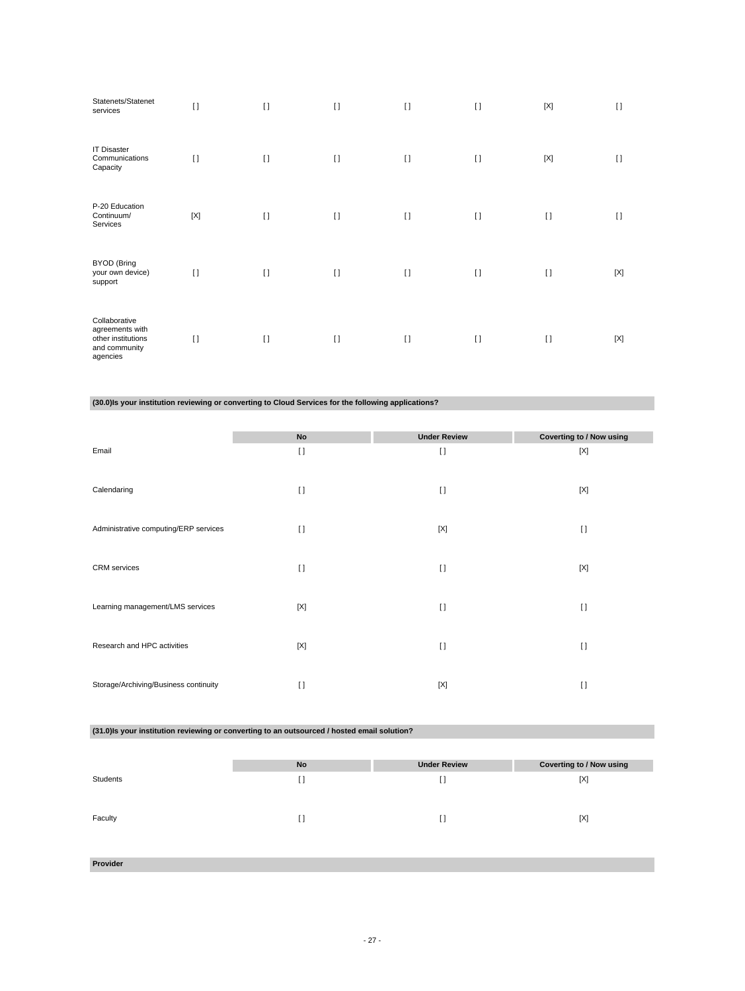| Statenets/Statenet<br>services                                                      | $[ \ ]$ | $\lceil$ | $\lceil$ | $\lceil$ | $\lceil$ | $[{\sf X}]$ | $\lceil$    |
|-------------------------------------------------------------------------------------|---------|----------|----------|----------|----------|-------------|-------------|
| <b>IT Disaster</b><br>Communications<br>Capacity                                    | $\Box$  | $\lceil$ | $[ \ ]$  | $\lceil$ | $[ \ ]$  | [X]         | $\Box$      |
| P-20 Education<br>Continuum/<br>Services                                            | [X]     | $\lceil$ | $\lceil$ | $[ \ ]$  | $[ \ ]$  | $[ \ ]$     | $\lceil$    |
| <b>BYOD</b> (Bring<br>your own device)<br>support                                   | $[ \ ]$ | $\lceil$ | $\lceil$ | $\lceil$ | $\lceil$ | $[ \ ]$     | $[{\sf X}]$ |
| Collaborative<br>agreements with<br>other institutions<br>and community<br>agencies | $[ \ ]$ | $\lceil$ | $\lceil$ | $\lceil$ | $\lceil$ | $[ \ ]$     | $[{\sf X}]$ |

**(30.0)Is your institution reviewing or converting to Cloud Services for the following applications?**

|                                       | No       | <b>Under Review</b> | <b>Coverting to / Now using</b> |
|---------------------------------------|----------|---------------------|---------------------------------|
| Email                                 | $\lceil$ | $\lceil$            | [X]                             |
|                                       |          |                     |                                 |
| Calendaring                           | $\lceil$ | $\lceil$            | [X]                             |
|                                       |          |                     |                                 |
| Administrative computing/ERP services | $\Box$   | [X]                 | $[ \ ]$                         |
|                                       |          |                     |                                 |
| <b>CRM</b> services                   | $[ \ ]$  | $[ \ ]$             | $[{\sf X}]$                     |
|                                       |          |                     |                                 |
| Learning management/LMS services      | [X]      | $\lceil$            | $\lceil$                        |
|                                       |          |                     |                                 |
| Research and HPC activities           | [X]      | $\lceil$            | $[ \ ]$                         |
|                                       |          |                     |                                 |
|                                       |          |                     |                                 |
| Storage/Archiving/Business continuity | $[ \ ]$  | [X]                 | $[ \ ]$                         |

**(31.0)Is your institution reviewing or converting to an outsourced / hosted email solution?**

|          | No        | <b>Under Review</b> | Coverting to / Now using |
|----------|-----------|---------------------|--------------------------|
| Students | <b>LJ</b> | H                   | [X]                      |
|          |           |                     |                          |
| Faculty  |           | D                   | [X]                      |
|          | . .       |                     |                          |
|          |           |                     |                          |
|          |           |                     |                          |

**Provider**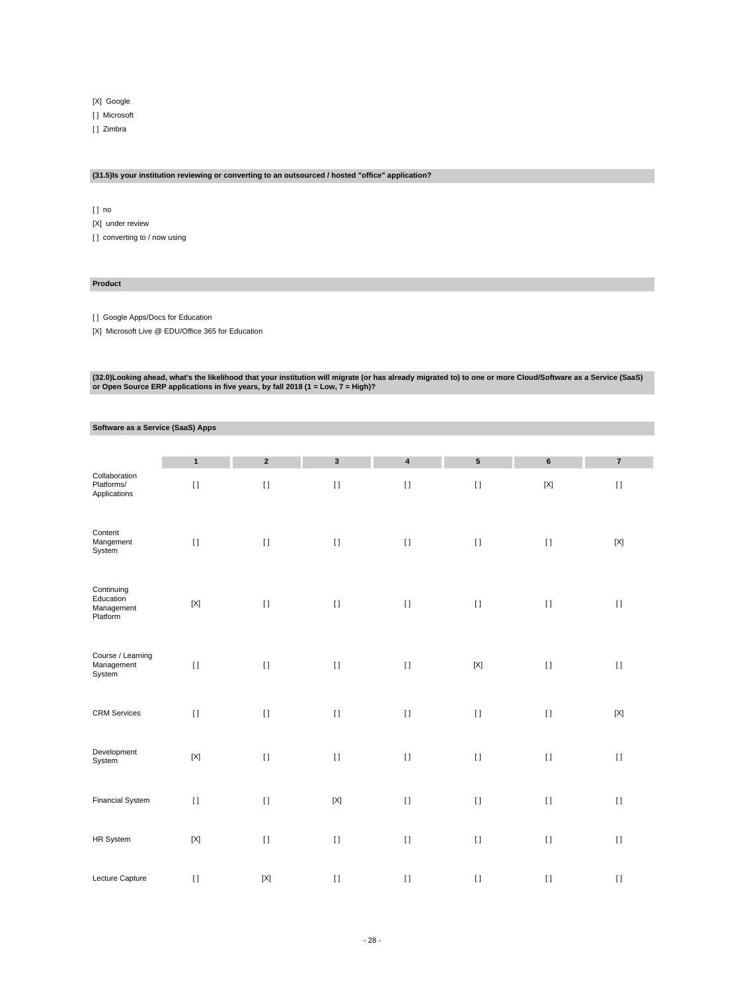[X] Google

[ ] Microsoft

[ ] Zimbra

#### **(31.5)Is your institution reviewing or converting to an outsourced / hosted "office" application?**

[ ] no

[X] under review [] converting to / now using

## **Product**

[ ] Google Apps/Docs for Education

[X] Microsoft Live @ EDU/Office 365 for Education

(32.0)Looking ahead, what's the likelihood that your institution will migrate (or has already migrated to) to one or more Cloud/Software as a Service (SaaS)<br>or Open Source ERP applications in five years, by fall 2018 (1 =

## **Software as a Service (SaaS) Apps**

|                                                   | $\mathbf{1}$ | $\overline{2}$ | $\mathbf{3}$ | $\overline{\mathbf{4}}$ | ${\bf 5}$                  | 6           | $\overline{7}$ |
|---------------------------------------------------|--------------|----------------|--------------|-------------------------|----------------------------|-------------|----------------|
| Collaboration<br>Platforms/<br>Applications       | $[ \; ]$     | $[ \; ]$       | $[ \ ]$      | $[ \; ]$                | $[ \; ]$                   | $[{\sf X}]$ | $[ \; ]$       |
| Content<br>Mangement<br>System                    | $[ \; ]$     | $[ \ ]$        | $[ \; ]$     | $\lbrack \, \rbrack$    | $[ \; ]$                   | $[ \ ]$     | $[{\sf X}]$    |
| Continuing<br>Education<br>Management<br>Platform | $[{\sf X}]$  | $[ \; ]$       | $[ \; ]$     | $[ \ ]$                 | $[ \; ]$                   | $[ \; ]$    | $[ \; ]$       |
| Course / Learning<br>Management<br>System         | $[ \; ]$     | $\lceil$       | $[ \; ]$     | $[ \ ]$                 | $\left[ \mathrm{X}\right]$ | $[ \; ]$    | $[ \; ]$       |
| <b>CRM</b> Services                               | $[ \ ]$      | $\lceil$       | $[ \; ]$     | $[ \; ]$                | $[ \ ]$                    | $[ \; ]$    | $[{\sf X}]$    |
| Development<br>System                             | $[{\sf X}]$  | $\lceil$       | $[ \ ]$      | $[ \ ]$                 | $[ \ ]$                    | $[ \ ]$     | $[ \ ]$        |
| <b>Financial System</b>                           | $[ \ ]$      | $[ \; ]$       | $[{\sf X}]$  | $[ \; ]$                | $[ \; ]$                   | $[ \; ]$    | $[ \; ]$       |
| HR System                                         | $[{\sf X}]$  | $\lceil$       | $[ \; ]$     | $[ \; ]$                | $[ \ ]$                    | $[ \; ]$    | $[ \; ]$       |
| Lecture Capture                                   | $[ \; ]$     | $[{\sf X}]$    | $[ \; ]$     | $[ \; ]$                | $[ \; ]$                   | $[ \; ]$    | $[ \; ]$       |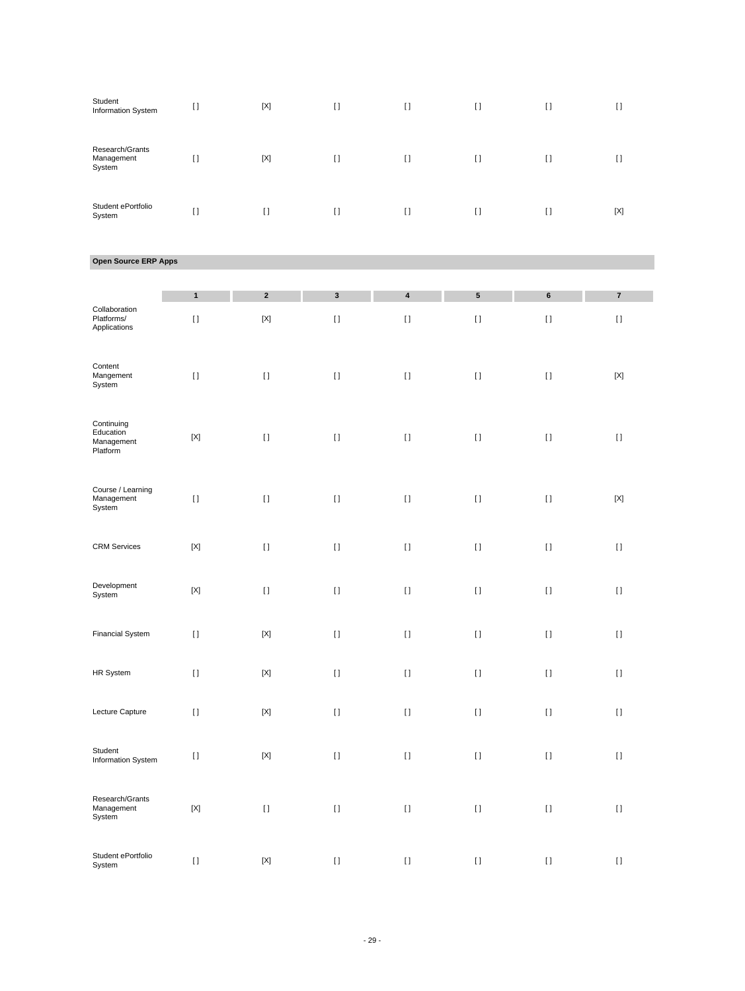| Student<br>Information System           | $[ \ ]$ | $[{\sf X}]$ | I)     | $\mathfrak{g}$ | $\mathbf{I}$ | $[ \ ]$ | u   |
|-----------------------------------------|---------|-------------|--------|----------------|--------------|---------|-----|
| Research/Grants<br>Management<br>System | I1      | $[{\sf X}]$ | I)     | $\lceil$       | $[ \ ]$      | $[ \ ]$ | U   |
| Student ePortfolio<br>System            | $\Box$  | $\Box$      | $\Box$ | $\Box$         | $\Box$       | $\Box$  | [X] |

## **Open Source ERP Apps**

| Collaboration<br>Platforms/<br>Applications       | $\mathbf{1}$<br>$[ \; ]$  | $\overline{\mathbf{2}}$<br>$[{\sf X}]$ | $\mathbf 3$<br>$\left[ \, \right]$ | $\overline{\mathbf{4}}$<br>$\begin{array}{c} \square \end{array}$ | 5<br>$[ \ ]$ | 6<br>$[ \ ]$ | $\overline{\mathbf{7}}$<br>$[ \; ]$ |
|---------------------------------------------------|---------------------------|----------------------------------------|------------------------------------|-------------------------------------------------------------------|--------------|--------------|-------------------------------------|
| Content<br>Mangement<br>System                    | $[ \; ]$                  | $[ \; ]$                               | $[ \; ]$                           | $[ \ ]$                                                           | $[ \; ]$     | $[ \; ]$     | $[{\sf X}]$                         |
| Continuing<br>Education<br>Management<br>Platform | $[{\sf X}]$               | $[ \ ]$                                | $[ \; ]$                           | $[ \ ]$                                                           | $[ \ ]$      | $[ \ ]$      | $[ \; ]$                            |
| Course / Learning<br>Management<br>System         | $[ \, ]$                  | $[ \ ]$                                | $[ \; ]$                           | $[ \ ]$                                                           | $[ \ ]$      | $[ \ ]$      | $[{\sf X}]$                         |
| <b>CRM Services</b>                               | $[{\sf X}]$               | $[ \ ]$                                | $\left[ \ \right]$                 | $\lbrack \, \rbrack$                                              | $[ \; ]$     | $[ \ ]$      | $[ \ ]$                             |
| Development<br>System                             | $\left[ \text{X} \right]$ | $[ \; ]$                               | $[ \; ]$                           | $\mathop{\rm \Pi}\nolimits$                                       | $[ \; ]$     | $[ \ ]$      | $[ \; ]$                            |
| <b>Financial System</b>                           | $[ \; ]$                  | $[{\sf X}]$                            | $[ \; ]$                           | $[ \ ]$                                                           | $[ \; ]$     | $[ \; ]$     | $[ \; ]$                            |
| HR System                                         | $[ \; ]$                  | $[{\sf X}]$                            | $[ \ ]$                            | $\lbrack \, \rbrack$                                              | $[ \; ]$     | $[ \ ]$      | $[ \; ]$                            |
| Lecture Capture                                   | $[ \; ]$                  | $[{\sf X}]$                            | $[ \ ]$                            | $[ \ ]$                                                           | $[ \ ]$      | $[ \ ]$      | $[ \ ]$                             |
| Student<br>Information System                     | $[ \ ]$                   | $[{\sf X}]$                            | $[ \ ]$                            | $\lbrack \, \rbrack$                                              | $[ \ ]$      | $[ \ ]$      | $\left[ \ \right]$                  |
| Research/Grants<br>Management<br>System           | $[{\sf X}]$               | $[ \; ]$                               | $[ \ ]$                            | $[ \ ]$                                                           | $[ \; ]$     | $[ \ ]$      | $[ \ ]$                             |
| Student ePortfolio<br>System                      | $[ \ ]$                   | $[{\sf X}]$                            | $[ \; ]$                           | $\begin{array}{c} \square \end{array}$                            | $[ \ ]$      | $[ \ ]$      | $[ \; ]$                            |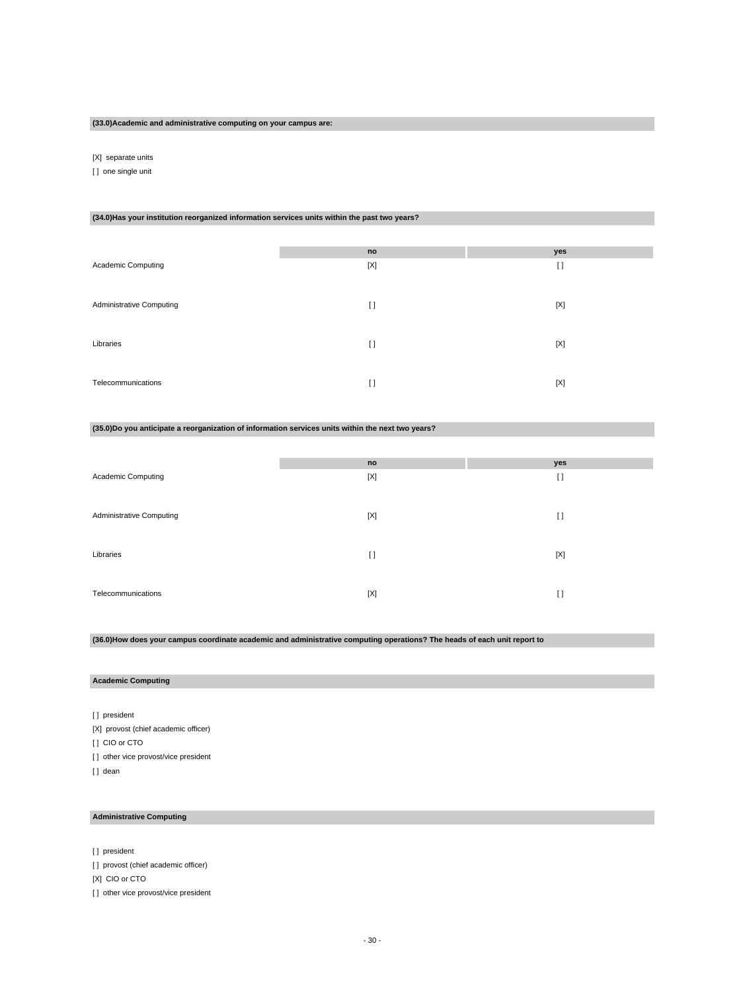#### **(33.0)Academic and administrative computing on your campus are:**

[X] separate units

[ ] one single unit

#### **(34.0)Has your institution reorganized information services units within the past two years?**

| Academic Computing       | no<br>[X] | yes<br>$[ \ ]$ |
|--------------------------|-----------|----------------|
|                          |           |                |
| Administrative Computing | $[ \ ]$   | $[{\sf X}]$    |
| Libraries                | $[ \ ]$   | $[{\sf X}]$    |
| Telecommunications       | $\Box$    | $[{\sf X}]$    |

#### **(35.0)Do you anticipate a reorganization of information services units within the next two years?**

|                          | no          | yes         |
|--------------------------|-------------|-------------|
| Academic Computing       | $[{\sf X}]$ | $[ \ ]$     |
|                          |             |             |
|                          |             |             |
| Administrative Computing | [X]         | IJ          |
|                          |             |             |
| Libraries                | $\lceil$    | $[{\sf X}]$ |
|                          |             |             |
|                          |             |             |
| Telecommunications       | [X]         | $[ \ ]$     |

## **(36.0)How does your campus coordinate academic and administrative computing operations? The heads of each unit report to**

## **Academic Computing**

[] president [X] provost (chief academic officer) [ ] CIO or CTO [ ] other vice provost/vice president [] dean

## **Administrative Computing**

[] president

[] provost (chief academic officer)

[X] CIO or CTO

[ ] other vice provost/vice president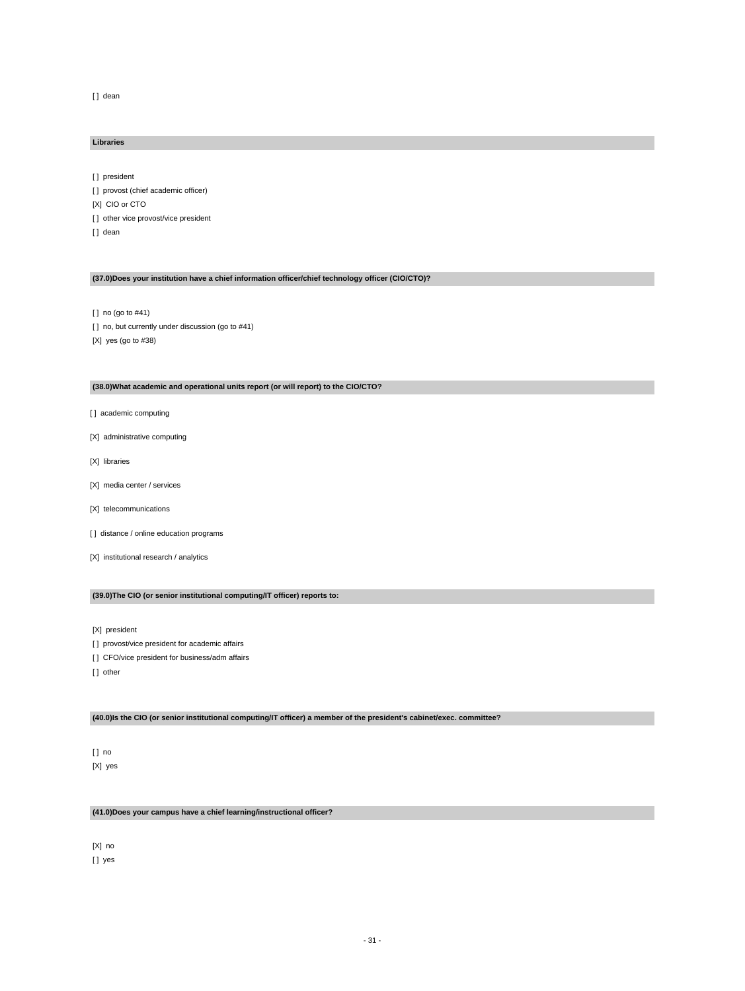[] dean

#### **Libraries**

[] president

- [ ] provost (chief academic officer) [X] CIO or CTO [ ] other vice provost/vice president
- [] dean

## **(37.0)Does your institution have a chief information officer/chief technology officer (CIO/CTO)?**

[ ] no (go to #41)

- [] no, but currently under discussion (go to #41)
- [X] yes (go to #38)

## **(38.0)What academic and operational units report (or will report) to the CIO/CTO?**

- [ ] academic computing
- [X] administrative computing
- [X] libraries
- [X] media center / services
- [X] telecommunications
- [ ] distance / online education programs
- [X] institutional research / analytics

## **(39.0)The CIO (or senior institutional computing/IT officer) reports to:**

[X] president

- [] provost/vice president for academic affairs
- [] CFO/vice president for business/adm affairs
- [] other

## **(40.0)Is the CIO (or senior institutional computing/IT officer) a member of the president's cabinet/exec. committee?**

[ ] no [X] yes

## **(41.0)Does your campus have a chief learning/instructional officer?**

[X] no [] yes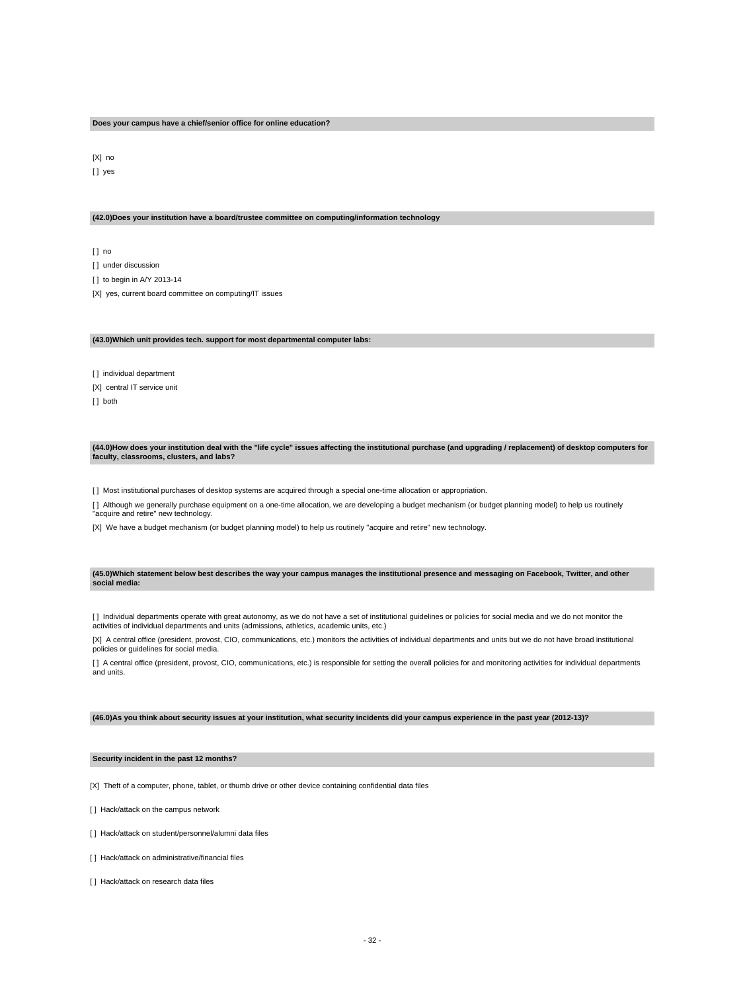#### **Does your campus have a chief/senior office for online education?**

[X] no [] yes

#### **(42.0)Does your institution have a board/trustee committee on computing/information technology**

 $[ ]$  no [ ] under discussion [] to begin in A/Y 2013-14 [X] yes, current board committee on computing/IT issues

#### **(43.0)Which unit provides tech. support for most departmental computer labs:**

[ ] individual department [X] central IT service unit [ ] both

#### **(44.0)How does your institution deal with the "life cycle" issues affecting the institutional purchase (and upgrading / replacement) of desktop computers for faculty, classrooms, clusters, and labs?**

[ ] Most institutional purchases of desktop systems are acquired through a special one-time allocation or appropriation.

[ ] Although we generally purchase equipment on a one-time allocation, we are developing a budget mechanism (or budget planning model) to help us routinely "acquire and retire" new technology.

[X] We have a budget mechanism (or budget planning model) to help us routinely "acquire and retire" new technology.

#### **(45.0)Which statement below best describes the way your campus manages the institutional presence and messaging on Facebook, Twitter, and other social media:**

[] Individual departments operate with great autonomy, as we do not have a set of institutional guidelines or policies for social media and we do not monitor the activities of individual departments and units (admissions, athletics, academic units, etc.)

[X] A central office (president, provost, CIO, communications, etc.) monitors the activities of individual departments and units but we do not have broad institutional policies or guidelines for social media.

[] A central office (president, provost, CIO, communications, etc.) is responsible for setting the overall policies for and monitoring activities for individual departments and units.

#### **(46.0)As you think about security issues at your institution, what security incidents did your campus experience in the past year (2012-13)?**

#### **Security incident in the past 12 months?**

[X] Theft of a computer, phone, tablet, or thumb drive or other device containing confidential data files

[ ] Hack/attack on the campus network

- [1] Hack/attack on student/personnel/alumni data files
- [] Hack/attack on administrative/financial files
- [ ] Hack/attack on research data files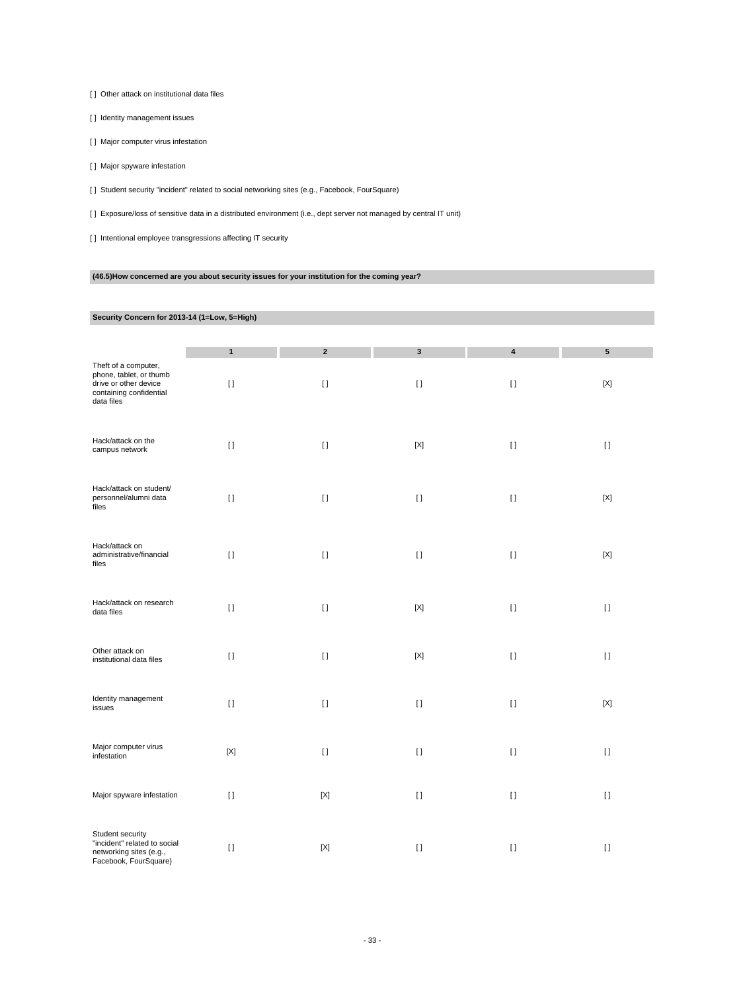[ ] Other attack on institutional data files

[ ] Identity management issues

[ ] Major computer virus infestation

[ ] Major spyware infestation

[ ] Student security "incident" related to social networking sites (e.g., Facebook, FourSquare)

[ ] Exposure/loss of sensitive data in a distributed environment (i.e., dept server not managed by central IT unit)

[] Intentional employee transgressions affecting IT security

## **(46.5)How concerned are you about security issues for your institution for the coming year?**

## **Security Concern for 2013-14 (1=Low, 5=High)**

|                                                                                                                   | $\mathbf{1}$ | $\mathbf{2}$ | 3            | $\overline{\mathbf{4}}$ | $5\phantom{.0}$ |
|-------------------------------------------------------------------------------------------------------------------|--------------|--------------|--------------|-------------------------|-----------------|
| Theft of a computer,<br>phone, tablet, or thumb<br>drive or other device<br>containing confidential<br>data files | $\lceil$     | $[ \; ]$     | $\mathbf{I}$ | $[ \ ]$                 | $[{\sf X}]$     |
| Hack/attack on the<br>campus network                                                                              | $[ \ ]$      | $[ \ ]$      | $[{\sf X}]$  | $[ \ ]$                 | $[ \ ]$         |
| Hack/attack on student/<br>personnel/alumni data<br>files                                                         | $[ \ ]$      | $[ \ ]$      | $\mathbf{I}$ | $[ \; ]$                | $[{\sf X}]$     |
| Hack/attack on<br>administrative/financial<br>files                                                               | $\lceil$     | $[ \ ]$      | $\mathbf{I}$ | $[ \; ]$                | $[{\sf X}]$     |
| Hack/attack on research<br>data files                                                                             | $\lceil$     | $[ \; ]$     | $[{\sf X}]$  | $[ \; ]$                | $[ \; ]$        |
| Other attack on<br>institutional data files                                                                       | $[ \; ]$     | $[ \; ]$     | $[{\sf X}]$  | $[ \; ]$                | $[ \; ]$        |
| Identity management<br>issues                                                                                     | $[ \ ]$      | $\mathbf{I}$ | $[ \ ]$      | $[ \ ]$                 | $[{\sf X}]$     |
| Major computer virus<br>infestation                                                                               | $[{\sf X}]$  | $[ \ ]$      | $[ \ ]$      | $[ \ ]$                 | $[ \ ]$         |
| Major spyware infestation                                                                                         | $[ \ ]$      | $[{\sf X}]$  | $\mathbf{I}$ | $[ \ ]$                 | $[ \ ]$         |
| Student security<br>"incident" related to social<br>networking sites (e.g.,<br>Facebook, FourSquare)              | $[ \ ]$      | $[{\sf X}]$  | $[ \ ]$      | $[ \ ]$                 | $[ \ ]$         |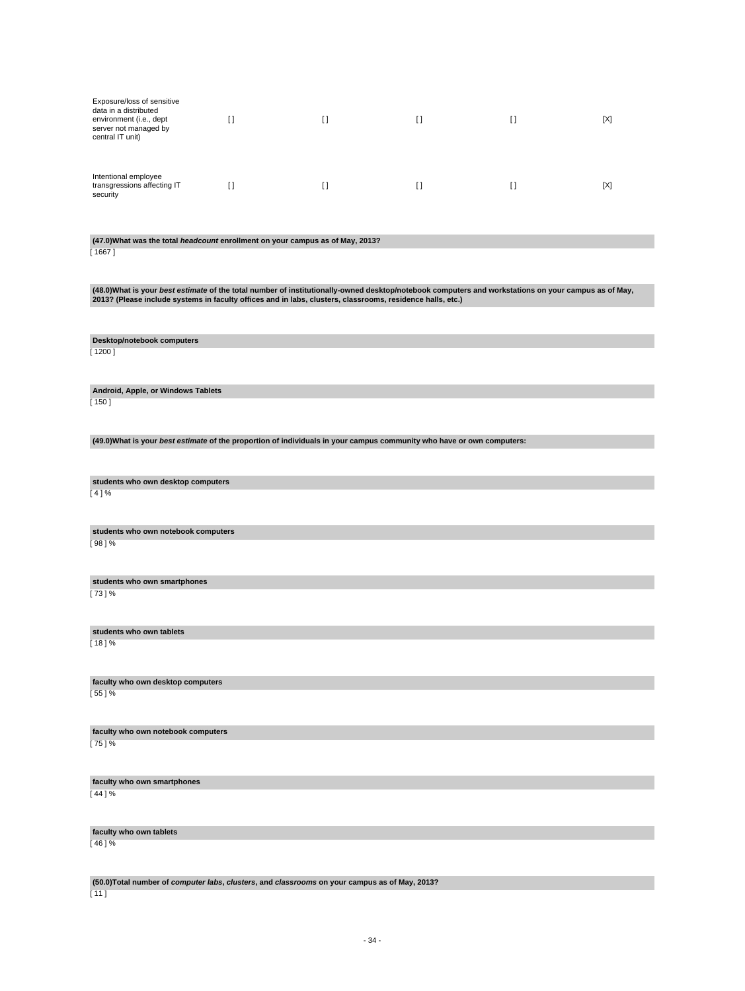| Exposure/loss of sensitive<br>data in a distributed<br>environment (i.e., dept<br>server not managed by<br>central IT unit) |  | []  | [X] |
|-----------------------------------------------------------------------------------------------------------------------------|--|-----|-----|
| Intentional employee<br>transgressions affecting IT<br>security                                                             |  | [ ] | [X] |

# **(47.0)What was the total headcount enrollment on your campus as of May, 2013?**

 $[1667]$ 

(48.0)What is your *best estimate* of the total number of institutionally-owned desktop/notebook computers and workstations on your campus as of May,<br>2013? (Please include systems in faculty offices and in labs, clusters,

**Desktop/notebook computers** [ 1200 ]

**Android, Apple, or Windows Tablets** [ 150 ]

**(49.0)What is your best estimate of the proportion of individuals in your campus community who have or own computers:**

**students who own desktop computers**  $[4] \%$ 

**students who own notebook computers** [ 98 ] %

**students who own smartphones**

[ 73 ] %

**students who own tablets**  $[18]$  %

**faculty who own desktop computers** [ 55 ] %

**faculty who own notebook computers** [ 75 ] %

**faculty who own smartphones**  $[44] \%$ 

**faculty who own tablets** [ 46 ] %

**(50.0)Total number of computer labs, clusters, and classrooms on your campus as of May, 2013?**

 $[11]$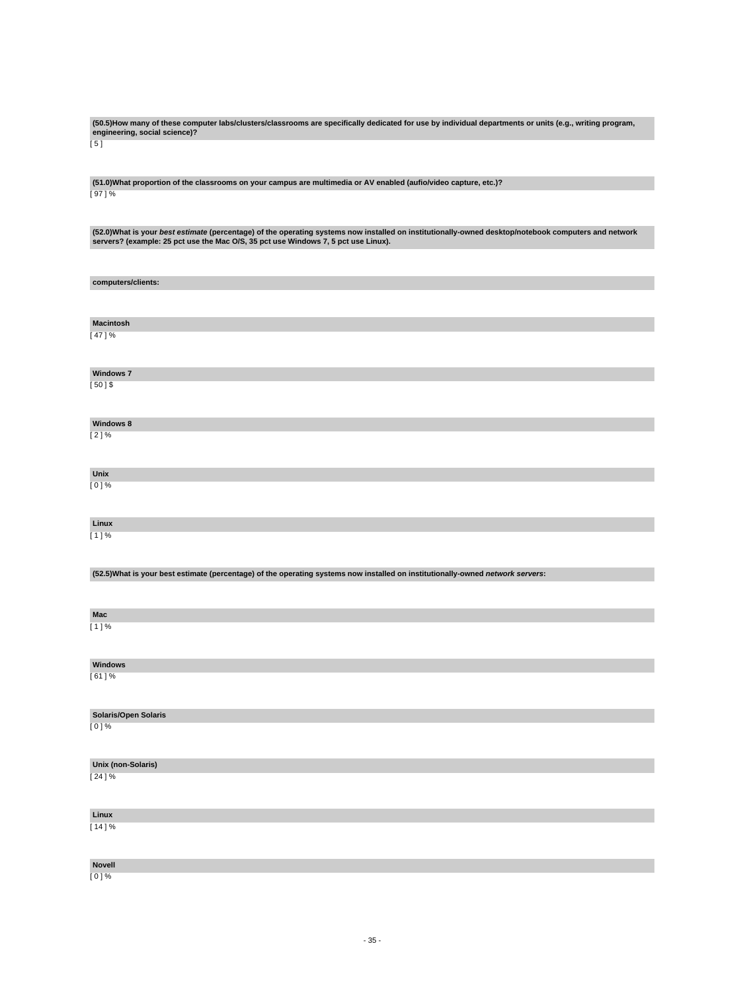**(50.5)How many of these computer labs/clusters/classrooms are specifically dedicated for use by individual departments or units (e.g., writing program, engineering, social science)?**

 $\overline{[}5]$ 

**(51.0)What proportion of the classrooms on your campus are multimedia or AV enabled (aufio/video capture, etc.)?** [ 97 ] %

(52.0)What is your *best estimate* (percentage) of the operating systems now installed on institutionally-owned desktop/notebook computers and network<br>servers? (example: 25 pct use the Mac O/S, 35 pct use Windows 7, 5 pct

| computers/clients:                                                                                                              |
|---------------------------------------------------------------------------------------------------------------------------------|
|                                                                                                                                 |
|                                                                                                                                 |
| <b>Macintosh</b>                                                                                                                |
| [47]%                                                                                                                           |
|                                                                                                                                 |
| <b>Windows 7</b>                                                                                                                |
| $[50]$ \$                                                                                                                       |
|                                                                                                                                 |
| Windows 8                                                                                                                       |
| [2]%                                                                                                                            |
|                                                                                                                                 |
| Unix                                                                                                                            |
| $[0]$ %                                                                                                                         |
|                                                                                                                                 |
| Linux                                                                                                                           |
| [1]%                                                                                                                            |
|                                                                                                                                 |
| (52.5) What is your best estimate (percentage) of the operating systems now installed on institutionally-owned network servers: |
|                                                                                                                                 |
|                                                                                                                                 |
| Mac                                                                                                                             |
| [1]%                                                                                                                            |
|                                                                                                                                 |
| Windows                                                                                                                         |
| [61] %                                                                                                                          |
|                                                                                                                                 |
| Solaris/Open Solaris                                                                                                            |
| $[0]$ %                                                                                                                         |
|                                                                                                                                 |
| Unix (non-Solaris)                                                                                                              |
| [24]%                                                                                                                           |
|                                                                                                                                 |
|                                                                                                                                 |
|                                                                                                                                 |
| Linux<br>[14]%                                                                                                                  |
|                                                                                                                                 |
| Novell                                                                                                                          |

[ 0 ] %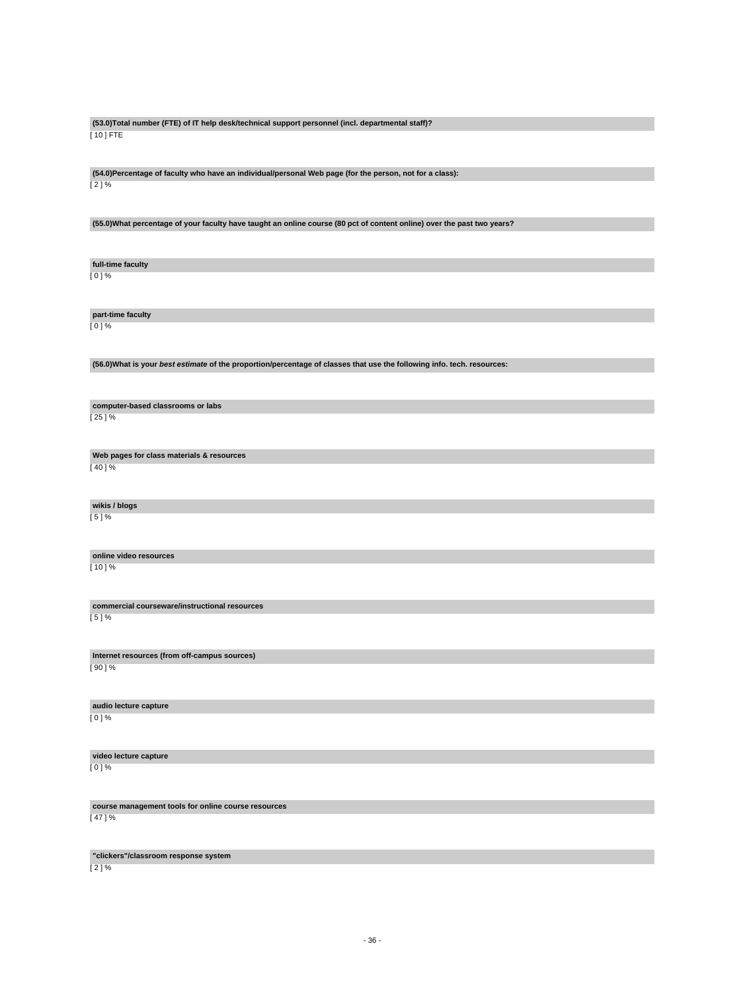**(53.0)Total number (FTE) of IT help desk/technical support personnel (incl. departmental staff)?** [ 10 ] FTE

**(54.0)Percentage of faculty who have an individual/personal Web page (for the person, not for a class):** [ 2 ] %

**(55.0)What percentage of your faculty have taught an online course (80 pct of content online) over the past two years?**

**full-time faculty** [ 0 ] %

**part-time faculty** [ 0 ] %

**(56.0)What is your best estimate of the proportion/percentage of classes that use the following info. tech. resources:**

**computer-based classrooms or labs** [ 25 ] %

**Web pages for class materials & resources**

[ 40 ] %

**wikis / blogs**

[ 5 ] %

**online video resources** [ 10 ] %

**commercial courseware/instructional resources** [ 5 ] %

**Internet resources (from off-campus sources)** [ 90 ] %

**audio lecture capture** [ 0 ] %

**video lecture capture** [ 0 ] %

**course management tools for online course resources**

[ 47 ] %

**"clickers"/classroom response system**

 $[2] \%$